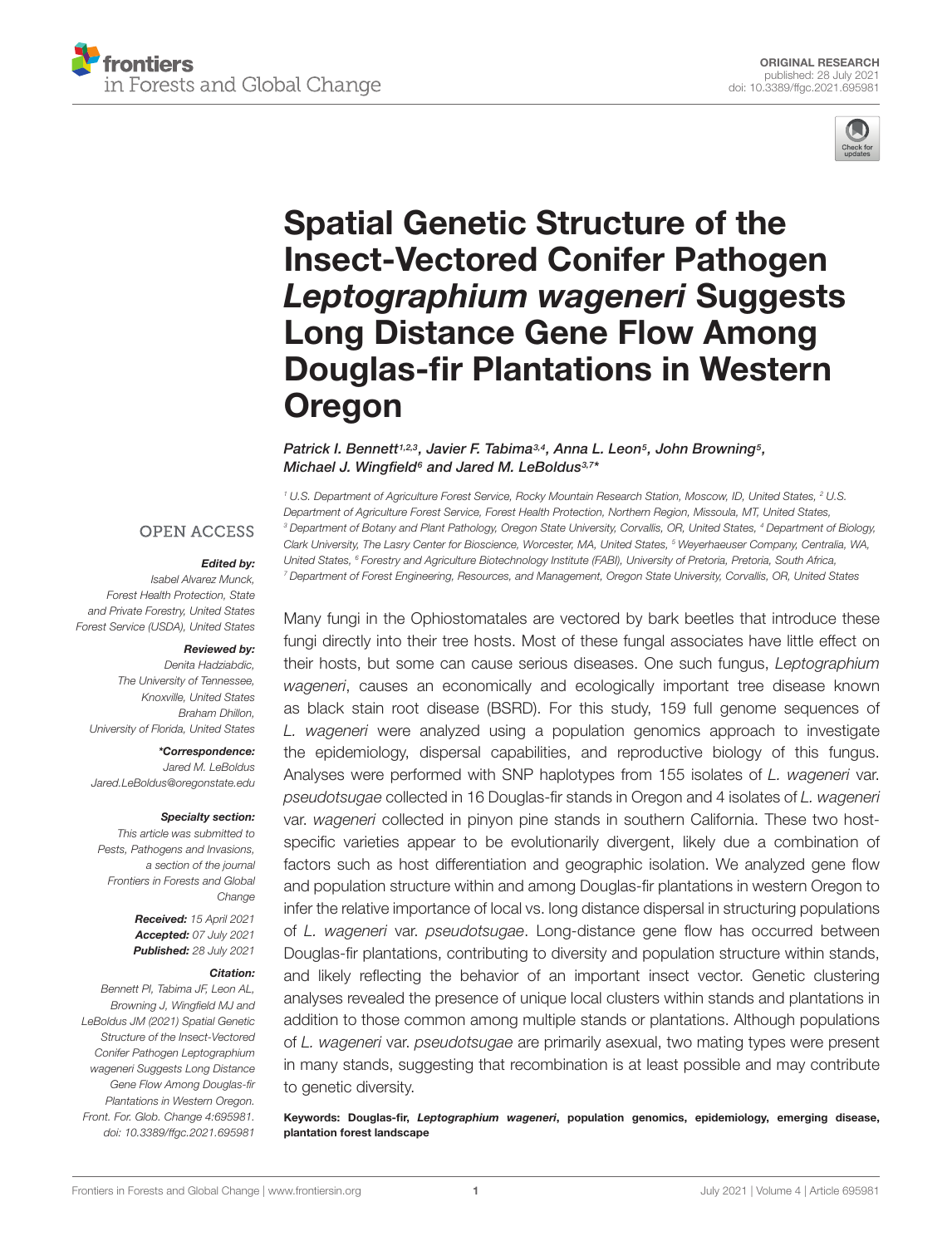



# Spatial Genetic Structure of the Insect-Vectored Conifer Pathogen Leptographium wageneri Suggests Long Distance Gene Flow Among [Douglas-fir Plantations in Western](https://www.frontiersin.org/articles/10.3389/ffgc.2021.695981/full) Oregon

#### Patrick I. Bennett1,2,3, Javier F. Tabima3,4, Anna L. Leon5, John Browning5, Michael J. Wingfield<sup>6</sup> and Jared M. LeBoldus<sup>3,7</sup>\*

<sup>1</sup> U.S. Department of Agriculture Forest Service, Rocky Mountain Research Station, Moscow, ID, United States, <sup>2</sup> U.S. Department of Agriculture Forest Service, Forest Health Protection, Northern Region, Missoula, MT, United States, <sup>3</sup> Department of Botany and Plant Pathology, Oregon State University, Corvallis, OR, United States, <sup>4</sup> Department of Biology, Clark University, The Lasry Center for Bioscience, Worcester, MA, United States, <sup>5</sup> Weyerhaeuser Company, Centralia, WA, United States, <sup>6</sup> Forestry and Agriculture Biotechnology Institute (FABI), University of Pretoria, Pretoria, South Africa, <sup>7</sup> Department of Forest Engineering, Resources, and Management, Oregon State University, Corvallis, OR, United States

Many fungi in the Ophiostomatales are vectored by bark beetles that introduce these fungi directly into their tree hosts. Most of these fungal associates have little effect on their hosts, but some can cause serious diseases. One such fungus, Leptographium wageneri, causes an economically and ecologically important tree disease known as black stain root disease (BSRD). For this study, 159 full genome sequences of L. wageneri were analyzed using a population genomics approach to investigate the epidemiology, dispersal capabilities, and reproductive biology of this fungus. Analyses were performed with SNP haplotypes from 155 isolates of L. wageneri var. pseudotsugae collected in 16 Douglas-fir stands in Oregon and 4 isolates of L. wageneri var. wageneri collected in pinyon pine stands in southern California. These two hostspecific varieties appear to be evolutionarily divergent, likely due a combination of factors such as host differentiation and geographic isolation. We analyzed gene flow and population structure within and among Douglas-fir plantations in western Oregon to infer the relative importance of local vs. long distance dispersal in structuring populations of L. wageneri var. pseudotsugae. Long-distance gene flow has occurred between Douglas-fir plantations, contributing to diversity and population structure within stands, and likely reflecting the behavior of an important insect vector. Genetic clustering analyses revealed the presence of unique local clusters within stands and plantations in addition to those common among multiple stands or plantations. Although populations of L. wageneri var. pseudotsugae are primarily asexual, two mating types were present in many stands, suggesting that recombination is at least possible and may contribute to genetic diversity.

Keywords: Douglas-fir, Leptographium wageneri, population genomics, epidemiology, emerging disease, plantation forest landscape

#### **OPEN ACCESS**

#### Edited by:

Isabel Alvarez Munck, Forest Health Protection, State and Private Forestry, United States Forest Service (USDA), United States

#### Reviewed by:

Denita Hadziabdic, The University of Tennessee, Knoxville, United States Braham Dhillon, University of Florida, United States

\*Correspondence:

Jared M. LeBoldus Jared.LeBoldus@oregonstate.edu

#### Specialty section:

This article was submitted to Pests, Pathogens and Invasions, a section of the journal Frontiers in Forests and Global Change

> Received: 15 April 2021 Accepted: 07 July 2021 Published: 28 July 2021

#### Citation:

Bennett PI, Tabima JF, Leon AL, Browning J, Wingfield MJ and LeBoldus JM (2021) Spatial Genetic Structure of the Insect-Vectored Conifer Pathogen Leptographium wageneri Suggests Long Distance Gene Flow Among Douglas-fir Plantations in Western Oregon. Front. For. Glob. Change 4:695981. [doi: 10.3389/ffgc.2021.695981](https://doi.org/10.3389/ffgc.2021.695981)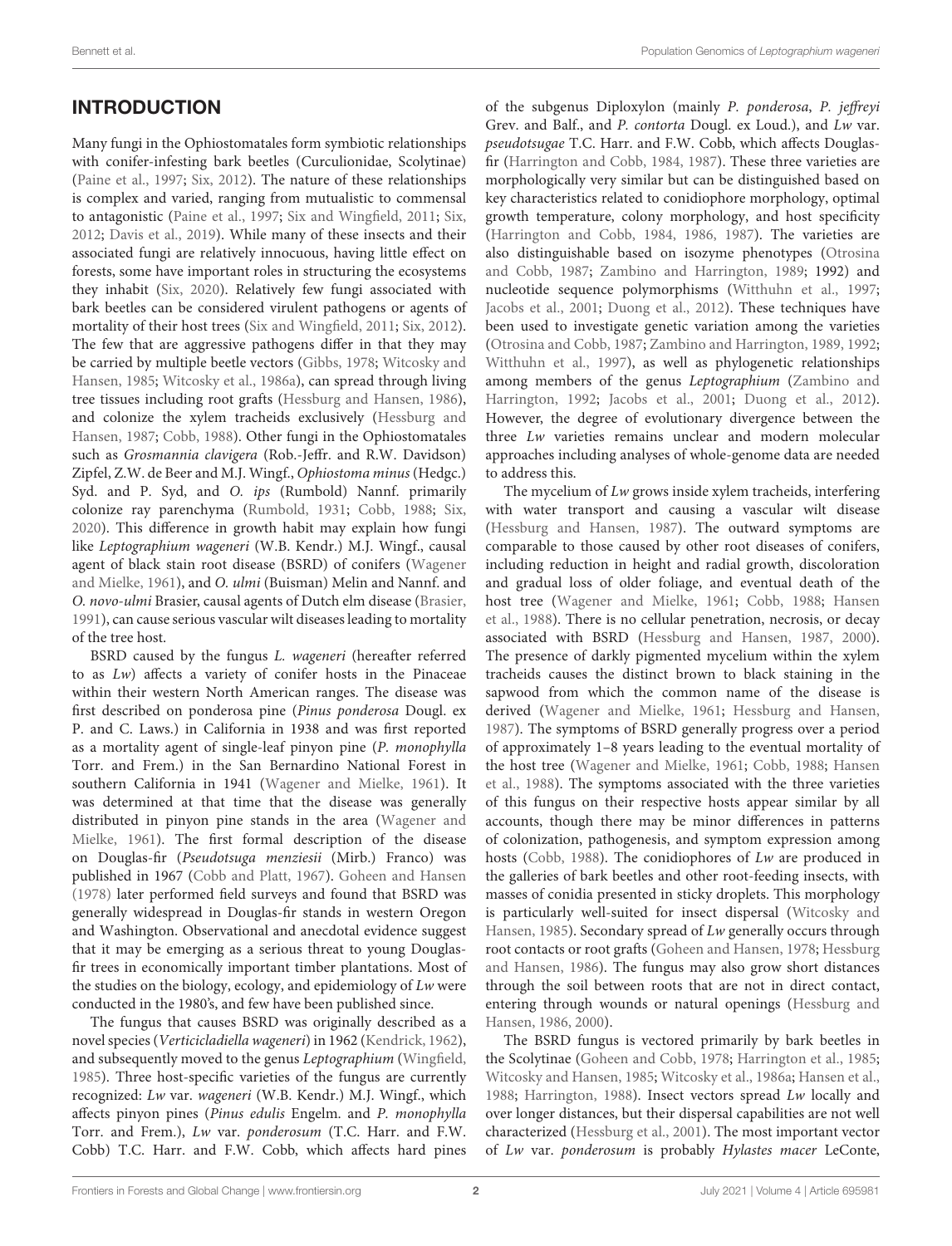# INTRODUCTION

Many fungi in the Ophiostomatales form symbiotic relationships with conifer-infesting bark beetles (Curculionidae, Scolytinae) [\(Paine et al., 1997;](#page-15-0) [Six, 2012\)](#page-15-1). The nature of these relationships is complex and varied, ranging from mutualistic to commensal to antagonistic [\(Paine et al., 1997;](#page-15-0) [Six and Wingfield, 2011;](#page-15-2) [Six,](#page-15-1) [2012;](#page-15-1) [Davis et al., 2019\)](#page-14-0). While many of these insects and their associated fungi are relatively innocuous, having little effect on forests, some have important roles in structuring the ecosystems they inhabit [\(Six, 2020\)](#page-15-3). Relatively few fungi associated with bark beetles can be considered virulent pathogens or agents of mortality of their host trees [\(Six and Wingfield, 2011;](#page-15-2) [Six, 2012\)](#page-15-1). The few that are aggressive pathogens differ in that they may be carried by multiple beetle vectors [\(Gibbs, 1978;](#page-14-1) [Witcosky and](#page-15-4) [Hansen, 1985;](#page-15-4) [Witcosky et al., 1986a\)](#page-15-5), can spread through living tree tissues including root grafts [\(Hessburg and Hansen, 1986\)](#page-14-2), and colonize the xylem tracheids exclusively [\(Hessburg and](#page-14-3) [Hansen, 1987;](#page-14-3) [Cobb, 1988\)](#page-14-4). Other fungi in the Ophiostomatales such as Grosmannia clavigera (Rob.-Jeffr. and R.W. Davidson) Zipfel, Z.W. de Beer and M.J. Wingf., Ophiostoma minus (Hedgc.) Syd. and P. Syd, and O. ips (Rumbold) Nannf. primarily colonize ray parenchyma [\(Rumbold, 1931;](#page-15-6) [Cobb, 1988;](#page-14-4) [Six,](#page-15-3) [2020\)](#page-15-3). This difference in growth habit may explain how fungi like Leptographium wageneri (W.B. Kendr.) M.J. Wingf., causal agent of black stain root disease (BSRD) of conifers [\(Wagener](#page-15-7) [and Mielke, 1961\)](#page-15-7), and O. ulmi (Buisman) Melin and Nannf. and O. novo-ulmi Brasier, causal agents of Dutch elm disease [\(Brasier,](#page-14-5) [1991\)](#page-14-5), can cause serious vascular wilt diseases leading to mortality of the tree host.

BSRD caused by the fungus L. wageneri (hereafter referred to as Lw) affects a variety of conifer hosts in the Pinaceae within their western North American ranges. The disease was first described on ponderosa pine (Pinus ponderosa Dougl. ex P. and C. Laws.) in California in 1938 and was first reported as a mortality agent of single-leaf pinyon pine (P. monophylla Torr. and Frem.) in the San Bernardino National Forest in southern California in 1941 [\(Wagener and Mielke, 1961\)](#page-15-7). It was determined at that time that the disease was generally distributed in pinyon pine stands in the area [\(Wagener and](#page-15-7) [Mielke, 1961\)](#page-15-7). The first formal description of the disease on Douglas-fir (Pseudotsuga menziesii (Mirb.) Franco) was published in 1967 [\(Cobb and Platt, 1967\)](#page-14-6). [Goheen and Hansen](#page-14-7) [\(1978\)](#page-14-7) later performed field surveys and found that BSRD was generally widespread in Douglas-fir stands in western Oregon and Washington. Observational and anecdotal evidence suggest that it may be emerging as a serious threat to young Douglasfir trees in economically important timber plantations. Most of the studies on the biology, ecology, and epidemiology of Lw were conducted in the 1980's, and few have been published since.

The fungus that causes BSRD was originally described as a novel species (Verticicladiella wageneri) in 1962 [\(Kendrick, 1962\)](#page-14-8), and subsequently moved to the genus Leptographium [\(Wingfield,](#page-15-8) [1985\)](#page-15-8). Three host-specific varieties of the fungus are currently recognized: Lw var. wageneri (W.B. Kendr.) M.J. Wingf., which affects pinyon pines (Pinus edulis Engelm. and P. monophylla Torr. and Frem.), Lw var. ponderosum (T.C. Harr. and F.W. Cobb) T.C. Harr. and F.W. Cobb, which affects hard pines of the subgenus Diploxylon (mainly P. ponderosa, P. jeffreyi Grev. and Balf., and P. contorta Dougl. ex Loud.), and Lw var. pseudotsugae T.C. Harr. and F.W. Cobb, which affects Douglasfir [\(Harrington and Cobb, 1984,](#page-14-9) [1987\)](#page-14-10). These three varieties are morphologically very similar but can be distinguished based on key characteristics related to conidiophore morphology, optimal growth temperature, colony morphology, and host specificity [\(Harrington and Cobb, 1984,](#page-14-9) [1986,](#page-14-11) [1987\)](#page-14-10). The varieties are also distinguishable based on isozyme phenotypes [\(Otrosina](#page-15-9) [and Cobb, 1987;](#page-15-9) [Zambino and Harrington, 1989;](#page-15-10) 1992) and nucleotide sequence polymorphisms [\(Witthuhn et al., 1997;](#page-15-11) [Jacobs et al., 2001;](#page-14-12) [Duong et al., 2012\)](#page-14-13). These techniques have been used to investigate genetic variation among the varieties [\(Otrosina and Cobb, 1987;](#page-15-9) [Zambino and Harrington, 1989,](#page-15-10) [1992;](#page-15-12) [Witthuhn et al., 1997\)](#page-15-11), as well as phylogenetic relationships among members of the genus Leptographium [\(Zambino and](#page-15-12) [Harrington, 1992;](#page-15-12) [Jacobs et al., 2001;](#page-14-12) [Duong et al., 2012\)](#page-14-13). However, the degree of evolutionary divergence between the three Lw varieties remains unclear and modern molecular approaches including analyses of whole-genome data are needed to address this.

The mycelium of Lw grows inside xylem tracheids, interfering with water transport and causing a vascular wilt disease [\(Hessburg and Hansen, 1987\)](#page-14-3). The outward symptoms are comparable to those caused by other root diseases of conifers, including reduction in height and radial growth, discoloration and gradual loss of older foliage, and eventual death of the host tree [\(Wagener and Mielke, 1961;](#page-15-7) [Cobb, 1988;](#page-14-4) [Hansen](#page-14-14) [et al., 1988\)](#page-14-14). There is no cellular penetration, necrosis, or decay associated with BSRD [\(Hessburg and Hansen, 1987,](#page-14-3) [2000\)](#page-14-15). The presence of darkly pigmented mycelium within the xylem tracheids causes the distinct brown to black staining in the sapwood from which the common name of the disease is derived [\(Wagener and Mielke, 1961;](#page-15-7) [Hessburg and Hansen,](#page-14-3) [1987\)](#page-14-3). The symptoms of BSRD generally progress over a period of approximately 1–8 years leading to the eventual mortality of the host tree [\(Wagener and Mielke, 1961;](#page-15-7) [Cobb, 1988;](#page-14-4) [Hansen](#page-14-14) [et al., 1988\)](#page-14-14). The symptoms associated with the three varieties of this fungus on their respective hosts appear similar by all accounts, though there may be minor differences in patterns of colonization, pathogenesis, and symptom expression among hosts [\(Cobb, 1988\)](#page-14-4). The conidiophores of Lw are produced in the galleries of bark beetles and other root-feeding insects, with masses of conidia presented in sticky droplets. This morphology is particularly well-suited for insect dispersal [\(Witcosky and](#page-15-4) [Hansen, 1985\)](#page-15-4). Secondary spread of Lw generally occurs through root contacts or root grafts [\(Goheen and Hansen, 1978;](#page-14-7) [Hessburg](#page-14-2) [and Hansen, 1986\)](#page-14-2). The fungus may also grow short distances through the soil between roots that are not in direct contact, entering through wounds or natural openings [\(Hessburg and](#page-14-2) [Hansen, 1986,](#page-14-2) [2000\)](#page-14-15).

The BSRD fungus is vectored primarily by bark beetles in the Scolytinae [\(Goheen and Cobb, 1978;](#page-14-16) [Harrington et al., 1985;](#page-14-17) [Witcosky and Hansen, 1985;](#page-15-4) [Witcosky et al., 1986a;](#page-15-5) [Hansen et al.,](#page-14-14) [1988;](#page-14-14) [Harrington, 1988\)](#page-14-18). Insect vectors spread Lw locally and over longer distances, but their dispersal capabilities are not well characterized [\(Hessburg et al., 2001\)](#page-14-19). The most important vector of Lw var. ponderosum is probably Hylastes macer LeConte,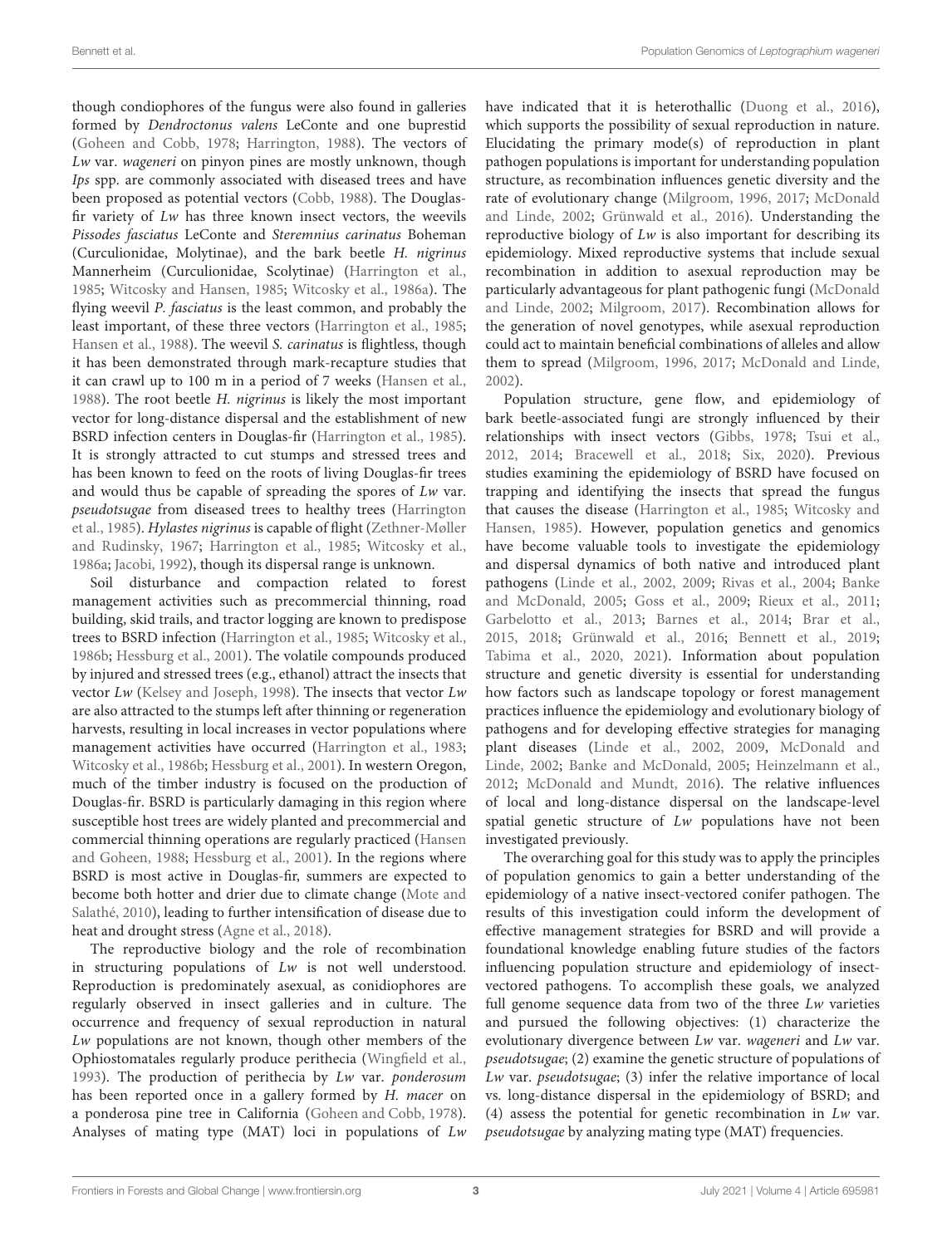though condiophores of the fungus were also found in galleries formed by Dendroctonus valens LeConte and one buprestid [\(Goheen and Cobb, 1978;](#page-14-16) [Harrington, 1988\)](#page-14-18). The vectors of Lw var. wageneri on pinyon pines are mostly unknown, though Ips spp. are commonly associated with diseased trees and have been proposed as potential vectors [\(Cobb, 1988\)](#page-14-4). The Douglasfir variety of Lw has three known insect vectors, the weevils Pissodes fasciatus LeConte and Steremnius carinatus Boheman (Curculionidae, Molytinae), and the bark beetle H. nigrinus Mannerheim (Curculionidae, Scolytinae) [\(Harrington et al.,](#page-14-17) [1985;](#page-14-17) [Witcosky and Hansen, 1985;](#page-15-4) [Witcosky et al., 1986a\)](#page-15-5). The flying weevil P. fasciatus is the least common, and probably the least important, of these three vectors [\(Harrington et al., 1985;](#page-14-17) [Hansen et al., 1988\)](#page-14-14). The weevil S. carinatus is flightless, though it has been demonstrated through mark-recapture studies that it can crawl up to 100 m in a period of 7 weeks [\(Hansen et al.,](#page-14-14) [1988\)](#page-14-14). The root beetle H. nigrinus is likely the most important vector for long-distance dispersal and the establishment of new BSRD infection centers in Douglas-fir [\(Harrington et al., 1985\)](#page-14-17). It is strongly attracted to cut stumps and stressed trees and has been known to feed on the roots of living Douglas-fir trees and would thus be capable of spreading the spores of Lw var. pseudotsugae from diseased trees to healthy trees [\(Harrington](#page-14-17) [et al., 1985\)](#page-14-17). Hylastes nigrinus is capable of flight [\(Zethner-Møller](#page-15-13) [and Rudinsky, 1967;](#page-15-13) [Harrington et al., 1985;](#page-14-17) [Witcosky et al.,](#page-15-5) [1986a;](#page-15-5) [Jacobi, 1992\)](#page-14-20), though its dispersal range is unknown.

Soil disturbance and compaction related to forest management activities such as precommercial thinning, road building, skid trails, and tractor logging are known to predispose trees to BSRD infection [\(Harrington et al., 1985;](#page-14-17) [Witcosky et al.,](#page-15-14) [1986b;](#page-15-14) [Hessburg et al., 2001\)](#page-14-19). The volatile compounds produced by injured and stressed trees (e.g., ethanol) attract the insects that vector Lw [\(Kelsey and Joseph, 1998\)](#page-14-21). The insects that vector Lw are also attracted to the stumps left after thinning or regeneration harvests, resulting in local increases in vector populations where management activities have occurred [\(Harrington et al., 1983;](#page-14-22) [Witcosky et al., 1986b;](#page-15-14) [Hessburg et al., 2001\)](#page-14-19). In western Oregon, much of the timber industry is focused on the production of Douglas-fir. BSRD is particularly damaging in this region where susceptible host trees are widely planted and precommercial and commercial thinning operations are regularly practiced [\(Hansen](#page-14-23) [and Goheen, 1988;](#page-14-23) [Hessburg et al., 2001\)](#page-14-19). In the regions where BSRD is most active in Douglas-fir, summers are expected to become both hotter and drier due to climate change [\(Mote and](#page-15-15) [Salathé, 2010\)](#page-15-15), leading to further intensification of disease due to heat and drought stress [\(Agne et al., 2018\)](#page-13-0).

The reproductive biology and the role of recombination in structuring populations of Lw is not well understood. Reproduction is predominately asexual, as conidiophores are regularly observed in insect galleries and in culture. The occurrence and frequency of sexual reproduction in natural Lw populations are not known, though other members of the Ophiostomatales regularly produce perithecia [\(Wingfield et al.,](#page-15-16) [1993\)](#page-15-16). The production of perithecia by Lw var. ponderosum has been reported once in a gallery formed by H. macer on a ponderosa pine tree in California [\(Goheen and Cobb, 1978\)](#page-14-16). Analyses of mating type (MAT) loci in populations of Lw

have indicated that it is heterothallic [\(Duong et al., 2016\)](#page-14-24), which supports the possibility of sexual reproduction in nature. Elucidating the primary mode(s) of reproduction in plant pathogen populations is important for understanding population structure, as recombination influences genetic diversity and the rate of evolutionary change [\(Milgroom, 1996,](#page-15-17) [2017;](#page-15-18) [McDonald](#page-15-19) [and Linde, 2002;](#page-15-19) [Grünwald et al., 2016\)](#page-14-25). Understanding the reproductive biology of  $Lw$  is also important for describing its epidemiology. Mixed reproductive systems that include sexual recombination in addition to asexual reproduction may be particularly advantageous for plant pathogenic fungi [\(McDonald](#page-15-19) [and Linde, 2002;](#page-15-19) [Milgroom, 2017\)](#page-15-18). Recombination allows for the generation of novel genotypes, while asexual reproduction could act to maintain beneficial combinations of alleles and allow them to spread [\(Milgroom, 1996,](#page-15-17) [2017;](#page-15-18) [McDonald and Linde,](#page-15-19) [2002\)](#page-15-19).

Population structure, gene flow, and epidemiology of bark beetle-associated fungi are strongly influenced by their relationships with insect vectors [\(Gibbs, 1978;](#page-14-1) [Tsui et al.,](#page-15-20) [2012,](#page-15-20) [2014;](#page-15-21) [Bracewell et al., 2018;](#page-13-1) [Six, 2020\)](#page-15-3). Previous studies examining the epidemiology of BSRD have focused on trapping and identifying the insects that spread the fungus that causes the disease [\(Harrington et al., 1985;](#page-14-17) [Witcosky and](#page-15-4) [Hansen, 1985\)](#page-15-4). However, population genetics and genomics have become valuable tools to investigate the epidemiology and dispersal dynamics of both native and introduced plant pathogens [\(Linde et al., 2002,](#page-14-26) [2009;](#page-14-27) [Rivas et al., 2004;](#page-15-22) [Banke](#page-13-2) [and McDonald, 2005;](#page-13-2) [Goss et al., 2009;](#page-14-28) [Rieux et al., 2011;](#page-15-23) [Garbelotto et al., 2013;](#page-14-29) [Barnes et al., 2014;](#page-13-3) [Brar et al.,](#page-13-4) [2015,](#page-13-4) [2018;](#page-13-5) [Grünwald et al., 2016;](#page-14-25) [Bennett et al., 2019;](#page-13-6) [Tabima et al., 2020,](#page-15-24) [2021\)](#page-15-25). Information about population structure and genetic diversity is essential for understanding how factors such as landscape topology or forest management practices influence the epidemiology and evolutionary biology of pathogens and for developing effective strategies for managing plant diseases [\(Linde et al., 2002,](#page-14-26) [2009,](#page-14-27) [McDonald and](#page-15-19) [Linde, 2002;](#page-15-19) [Banke and McDonald, 2005;](#page-13-2) [Heinzelmann et al.,](#page-14-30) [2012;](#page-14-30) [McDonald and Mundt, 2016\)](#page-15-26). The relative influences of local and long-distance dispersal on the landscape-level spatial genetic structure of Lw populations have not been investigated previously.

The overarching goal for this study was to apply the principles of population genomics to gain a better understanding of the epidemiology of a native insect-vectored conifer pathogen. The results of this investigation could inform the development of effective management strategies for BSRD and will provide a foundational knowledge enabling future studies of the factors influencing population structure and epidemiology of insectvectored pathogens. To accomplish these goals, we analyzed full genome sequence data from two of the three  $Lw$  varieties and pursued the following objectives: (1) characterize the evolutionary divergence between Lw var. wageneri and Lw var. pseudotsugae; (2) examine the genetic structure of populations of Lw var. pseudotsugae; (3) infer the relative importance of local vs. long-distance dispersal in the epidemiology of BSRD; and (4) assess the potential for genetic recombination in Lw var. pseudotsugae by analyzing mating type (MAT) frequencies.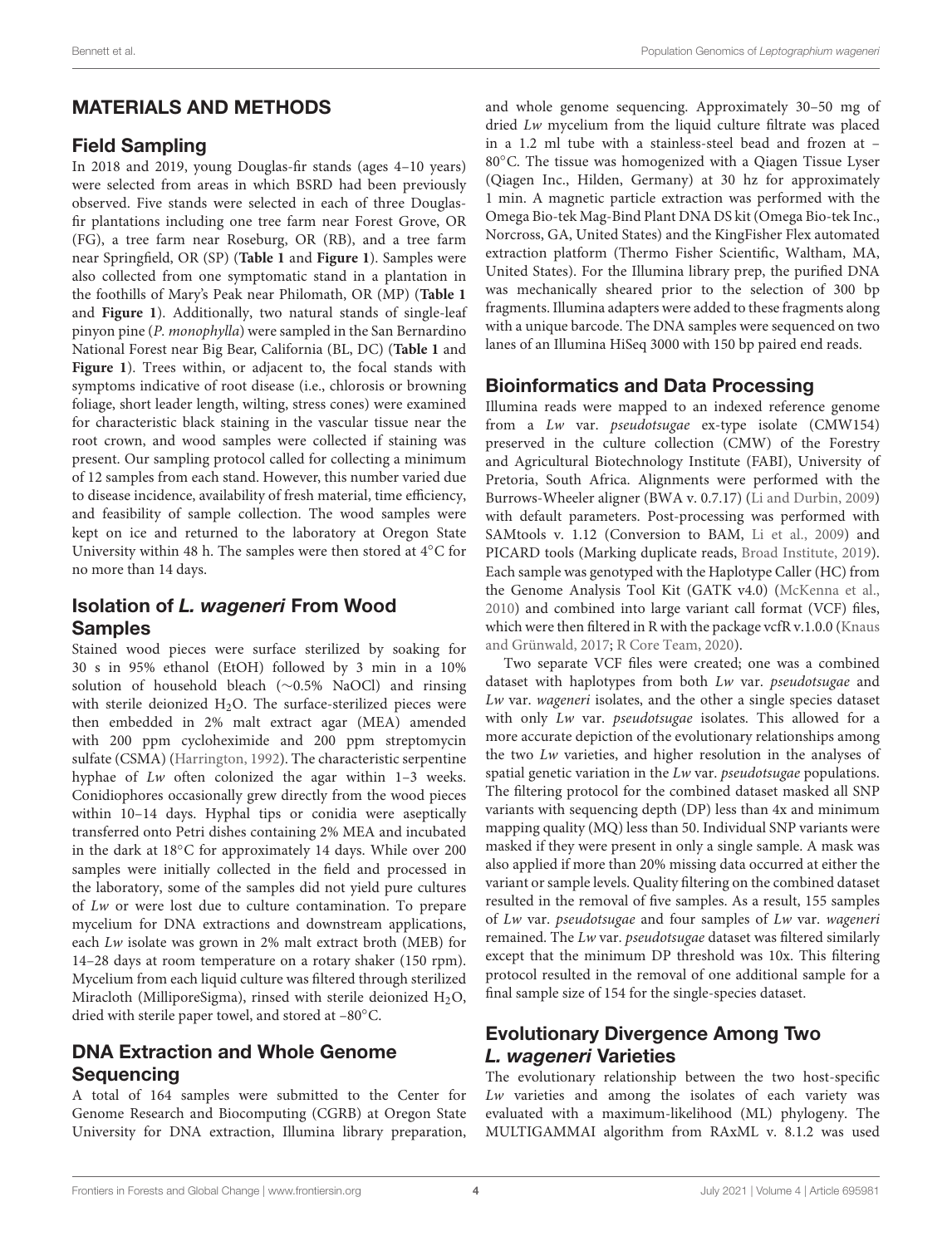### MATERIALS AND METHODS

#### Field Sampling

In 2018 and 2019, young Douglas-fir stands (ages 4–10 years) were selected from areas in which BSRD had been previously observed. Five stands were selected in each of three Douglasfir plantations including one tree farm near Forest Grove, OR (FG), a tree farm near Roseburg, OR (RB), and a tree farm near Springfield, OR (SP) (**[Table 1](#page-4-0)** and **[Figure 1](#page-5-0)**). Samples were also collected from one symptomatic stand in a plantation in the foothills of Mary's Peak near Philomath, OR (MP) (**[Table 1](#page-4-0)** and **[Figure 1](#page-5-0)**). Additionally, two natural stands of single-leaf pinyon pine (P. monophylla) were sampled in the San Bernardino National Forest near Big Bear, California (BL, DC) (**[Table 1](#page-4-0)** and **[Figure 1](#page-5-0)**). Trees within, or adjacent to, the focal stands with symptoms indicative of root disease (i.e., chlorosis or browning foliage, short leader length, wilting, stress cones) were examined for characteristic black staining in the vascular tissue near the root crown, and wood samples were collected if staining was present. Our sampling protocol called for collecting a minimum of 12 samples from each stand. However, this number varied due to disease incidence, availability of fresh material, time efficiency, and feasibility of sample collection. The wood samples were kept on ice and returned to the laboratory at Oregon State University within 48 h. The samples were then stored at 4◦C for no more than 14 days.

### Isolation of L. wageneri From Wood Samples

Stained wood pieces were surface sterilized by soaking for 30 s in 95% ethanol (EtOH) followed by 3 min in a 10% solution of household bleach (∼0.5% NaOCl) and rinsing with sterile deionized  $H_2O$ . The surface-sterilized pieces were then embedded in 2% malt extract agar (MEA) amended with 200 ppm cycloheximide and 200 ppm streptomycin sulfate (CSMA) [\(Harrington, 1992\)](#page-14-31). The characteristic serpentine hyphae of Lw often colonized the agar within 1–3 weeks. Conidiophores occasionally grew directly from the wood pieces within 10–14 days. Hyphal tips or conidia were aseptically transferred onto Petri dishes containing 2% MEA and incubated in the dark at 18◦C for approximately 14 days. While over 200 samples were initially collected in the field and processed in the laboratory, some of the samples did not yield pure cultures of Lw or were lost due to culture contamination. To prepare mycelium for DNA extractions and downstream applications, each Lw isolate was grown in 2% malt extract broth (MEB) for 14–28 days at room temperature on a rotary shaker (150 rpm). Mycelium from each liquid culture was filtered through sterilized Miracloth (MilliporeSigma), rinsed with sterile deionized  $H_2O$ , dried with sterile paper towel, and stored at –80◦C.

# DNA Extraction and Whole Genome Sequencing

A total of 164 samples were submitted to the Center for Genome Research and Biocomputing (CGRB) at Oregon State University for DNA extraction, Illumina library preparation, and whole genome sequencing. Approximately 30–50 mg of dried Lw mycelium from the liquid culture filtrate was placed in a 1.2 ml tube with a stainless-steel bead and frozen at – 80◦C. The tissue was homogenized with a Qiagen Tissue Lyser (Qiagen Inc., Hilden, Germany) at 30 hz for approximately 1 min. A magnetic particle extraction was performed with the Omega Bio-tek Mag-Bind Plant DNA DS kit (Omega Bio-tek Inc., Norcross, GA, United States) and the KingFisher Flex automated extraction platform (Thermo Fisher Scientific, Waltham, MA, United States). For the Illumina library prep, the purified DNA was mechanically sheared prior to the selection of 300 bp fragments. Illumina adapters were added to these fragments along with a unique barcode. The DNA samples were sequenced on two lanes of an Illumina HiSeq 3000 with 150 bp paired end reads.

### Bioinformatics and Data Processing

Illumina reads were mapped to an indexed reference genome from a Lw var. pseudotsugae ex-type isolate (CMW154) preserved in the culture collection (CMW) of the Forestry and Agricultural Biotechnology Institute (FABI), University of Pretoria, South Africa. Alignments were performed with the Burrows-Wheeler aligner (BWA v. 0.7.17) [\(Li and Durbin, 2009\)](#page-14-32) with default parameters. Post-processing was performed with SAMtools v. 1.12 (Conversion to BAM, [Li et al., 2009\)](#page-14-33) and PICARD tools (Marking duplicate reads, [Broad Institute, 2019\)](#page-14-34). Each sample was genotyped with the Haplotype Caller (HC) from the Genome Analysis Tool Kit (GATK v4.0) [\(McKenna et al.,](#page-15-27) [2010\)](#page-15-27) and combined into large variant call format (VCF) files, which were then filtered in R with the package vcfR v.1.0.0 [\(Knaus](#page-14-35) [and Grünwald, 2017;](#page-14-35) [R Core Team, 2020\)](#page-15-28).

Two separate VCF files were created; one was a combined dataset with haplotypes from both Lw var. pseudotsugae and Lw var. wageneri isolates, and the other a single species dataset with only Lw var. *pseudotsugae* isolates. This allowed for a more accurate depiction of the evolutionary relationships among the two Lw varieties, and higher resolution in the analyses of spatial genetic variation in the Lw var. pseudotsugae populations. The filtering protocol for the combined dataset masked all SNP variants with sequencing depth (DP) less than 4x and minimum mapping quality (MQ) less than 50. Individual SNP variants were masked if they were present in only a single sample. A mask was also applied if more than 20% missing data occurred at either the variant or sample levels. Quality filtering on the combined dataset resulted in the removal of five samples. As a result, 155 samples of Lw var. pseudotsugae and four samples of Lw var. wageneri remained. The Lw var. pseudotsugae dataset was filtered similarly except that the minimum DP threshold was 10x. This filtering protocol resulted in the removal of one additional sample for a final sample size of 154 for the single-species dataset.

### Evolutionary Divergence Among Two L. wageneri Varieties

The evolutionary relationship between the two host-specific Lw varieties and among the isolates of each variety was evaluated with a maximum-likelihood (ML) phylogeny. The MULTIGAMMAI algorithm from RAxML v. 8.1.2 was used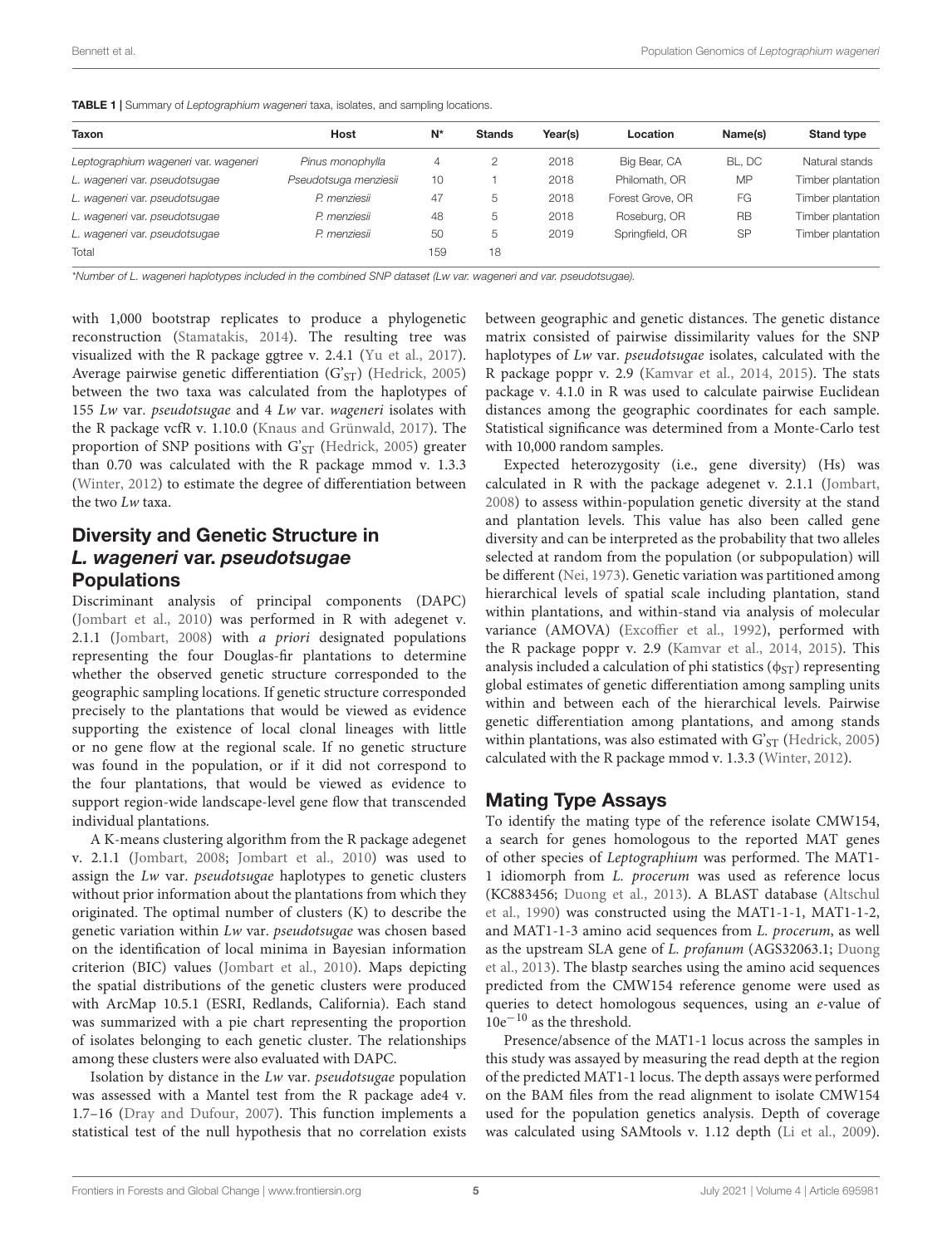<span id="page-4-0"></span>

| Taxon                                | Host                  | $N^*$ | <b>Stands</b> | Year(s) | Location         | Name(s)   | <b>Stand type</b> |
|--------------------------------------|-----------------------|-------|---------------|---------|------------------|-----------|-------------------|
| Leptographium wageneri var. wageneri | Pinus monophylla      | 4     |               | 2018    | Big Bear, CA     | BL. DC    | Natural stands    |
| L. wageneri var. pseudotsugae        | Pseudotsuga menziesii | 10    |               | 2018    | Philomath, OR    | <b>MP</b> | Timber plantation |
| L. wageneri var. pseudotsugae        | P. menziesii          | 47    | 5             | 2018    | Forest Grove, OR | FG        | Timber plantation |
| L. wageneri var. pseudotsugae        | P. menziesii          | 48    | 5             | 2018    | Roseburg, OR     | <b>RB</b> | Timber plantation |
| L. wageneri var. pseudotsugae        | P. menziesii          | 50    | 5             | 2019    | Springfield, OR  | <b>SP</b> | Timber plantation |
| Total                                |                       | 159   | 18            |         |                  |           |                   |

\*Number of L. wageneri haplotypes included in the combined SNP dataset (Lw var. wageneri and var. pseudotsugae).

with 1,000 bootstrap replicates to produce a phylogenetic reconstruction [\(Stamatakis, 2014\)](#page-15-29). The resulting tree was visualized with the R package ggtree v. 2.4.1 [\(Yu et al., 2017\)](#page-15-30). Average pairwise genetic differentiation (G'<sub>ST</sub>) [\(Hedrick, 2005\)](#page-14-36) between the two taxa was calculated from the haplotypes of 155 Lw var. pseudotsugae and 4 Lw var. wageneri isolates with the R package vcfR v. 1.10.0 [\(Knaus and Grünwald, 2017\)](#page-14-35). The proportion of SNP positions with  $G'_{ST}$  [\(Hedrick, 2005\)](#page-14-36) greater than 0.70 was calculated with the R package mmod v. 1.3.3 [\(Winter, 2012\)](#page-15-31) to estimate the degree of differentiation between the two Lw taxa.

### Diversity and Genetic Structure in L. wageneri var. pseudotsugae **Populations**

Discriminant analysis of principal components (DAPC) [\(Jombart et al., 2010\)](#page-14-37) was performed in R with adegenet v. 2.1.1 [\(Jombart, 2008\)](#page-14-38) with a priori designated populations representing the four Douglas-fir plantations to determine whether the observed genetic structure corresponded to the geographic sampling locations. If genetic structure corresponded precisely to the plantations that would be viewed as evidence supporting the existence of local clonal lineages with little or no gene flow at the regional scale. If no genetic structure was found in the population, or if it did not correspond to the four plantations, that would be viewed as evidence to support region-wide landscape-level gene flow that transcended individual plantations.

A K-means clustering algorithm from the R package adegenet v. 2.1.1 [\(Jombart, 2008;](#page-14-38) [Jombart et al., 2010\)](#page-14-37) was used to assign the Lw var. pseudotsugae haplotypes to genetic clusters without prior information about the plantations from which they originated. The optimal number of clusters (K) to describe the genetic variation within Lw var. pseudotsugae was chosen based on the identification of local minima in Bayesian information criterion (BIC) values [\(Jombart et al., 2010\)](#page-14-37). Maps depicting the spatial distributions of the genetic clusters were produced with ArcMap 10.5.1 (ESRI, Redlands, California). Each stand was summarized with a pie chart representing the proportion of isolates belonging to each genetic cluster. The relationships among these clusters were also evaluated with DAPC.

Isolation by distance in the Lw var. pseudotsugae population was assessed with a Mantel test from the R package ade4 v. 1.7–16 [\(Dray and Dufour, 2007\)](#page-14-39). This function implements a statistical test of the null hypothesis that no correlation exists between geographic and genetic distances. The genetic distance matrix consisted of pairwise dissimilarity values for the SNP haplotypes of Lw var. pseudotsugae isolates, calculated with the R package poppr v. 2.9 [\(Kamvar et al., 2014,](#page-14-40) [2015\)](#page-14-41). The stats package v. 4.1.0 in R was used to calculate pairwise Euclidean distances among the geographic coordinates for each sample. Statistical significance was determined from a Monte-Carlo test with 10,000 random samples.

Expected heterozygosity (i.e., gene diversity) (Hs) was calculated in R with the package adegenet v. 2.1.1 [\(Jombart,](#page-14-38) [2008\)](#page-14-38) to assess within-population genetic diversity at the stand and plantation levels. This value has also been called gene diversity and can be interpreted as the probability that two alleles selected at random from the population (or subpopulation) will be different [\(Nei, 1973\)](#page-15-32). Genetic variation was partitioned among hierarchical levels of spatial scale including plantation, stand within plantations, and within-stand via analysis of molecular variance (AMOVA) [\(Excoffier et al., 1992\)](#page-14-42), performed with the R package poppr v. 2.9 [\(Kamvar et al., 2014,](#page-14-40) [2015\)](#page-14-41). This analysis included a calculation of phi statistics ( $\phi$ <sub>ST</sub>) representing global estimates of genetic differentiation among sampling units within and between each of the hierarchical levels. Pairwise genetic differentiation among plantations, and among stands within plantations, was also estimated with  $G'_{ST}$  [\(Hedrick, 2005\)](#page-14-36) calculated with the R package mmod v. 1.3.3 [\(Winter, 2012\)](#page-15-31).

#### Mating Type Assays

To identify the mating type of the reference isolate CMW154, a search for genes homologous to the reported MAT genes of other species of Leptographium was performed. The MAT1- 1 idiomorph from L. procerum was used as reference locus (KC883456; [Duong et al., 2013\)](#page-14-43). A BLAST database [\(Altschul](#page-13-7) [et al., 1990\)](#page-13-7) was constructed using the MAT1-1-1, MAT1-1-2, and MAT1-1-3 amino acid sequences from L. procerum, as well as the upstream SLA gene of L. profanum (AGS32063.1; [Duong](#page-14-43) [et al., 2013\)](#page-14-43). The blastp searches using the amino acid sequences predicted from the CMW154 reference genome were used as queries to detect homologous sequences, using an e-value of  $10e^{-10}$  as the threshold.

Presence/absence of the MAT1-1 locus across the samples in this study was assayed by measuring the read depth at the region of the predicted MAT1-1 locus. The depth assays were performed on the BAM files from the read alignment to isolate CMW154 used for the population genetics analysis. Depth of coverage was calculated using SAMtools v. 1.12 depth [\(Li et al., 2009\)](#page-14-33).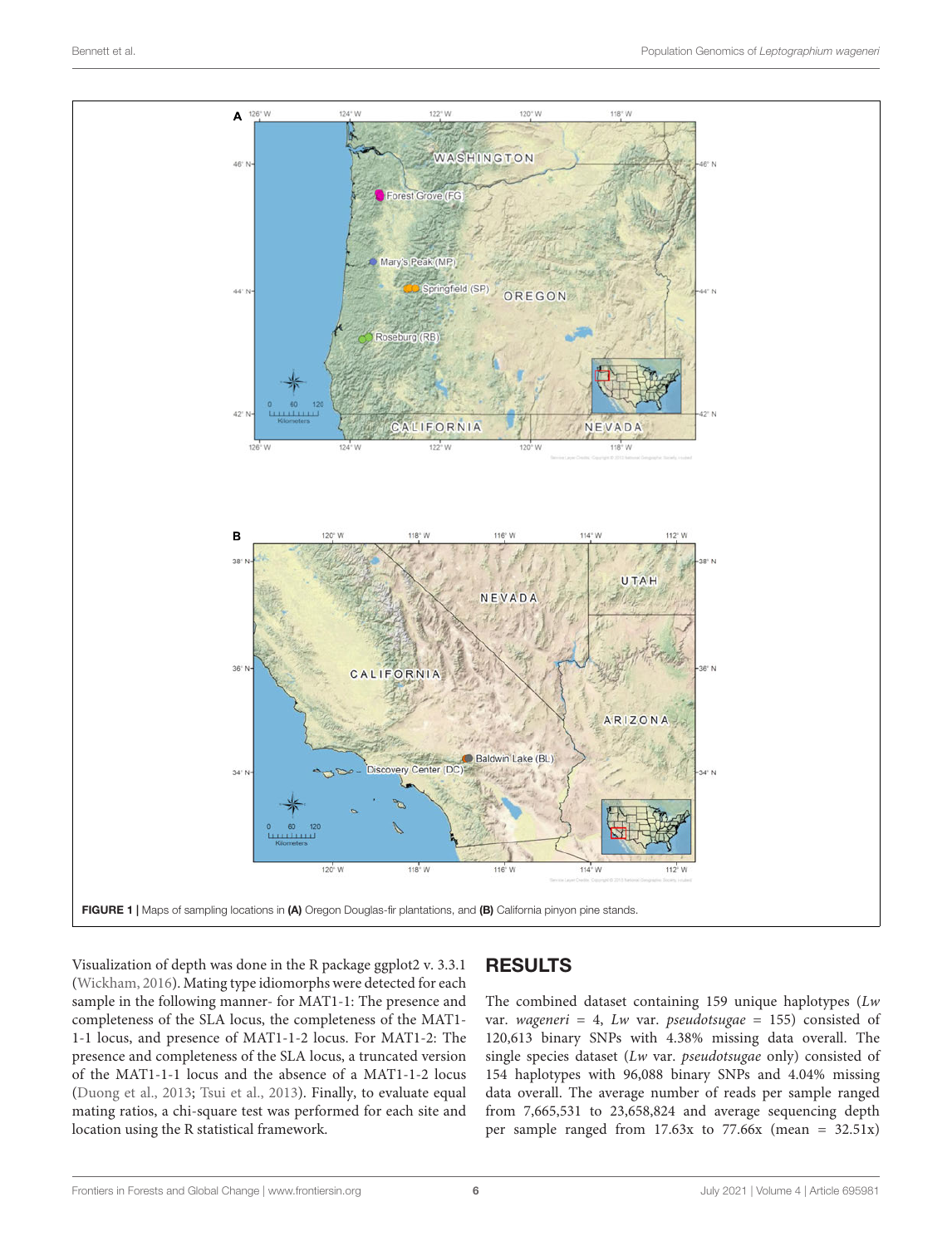

<span id="page-5-0"></span>Visualization of depth was done in the R package ggplot2 v. 3.3.1 [\(Wickham, 2016\)](#page-15-33). Mating type idiomorphs were detected for each sample in the following manner- for MAT1-1: The presence and completeness of the SLA locus, the completeness of the MAT1- 1-1 locus, and presence of MAT1-1-2 locus. For MAT1-2: The presence and completeness of the SLA locus, a truncated version of the MAT1-1-1 locus and the absence of a MAT1-1-2 locus [\(Duong et al., 2013;](#page-14-43) [Tsui et al., 2013\)](#page-15-34). Finally, to evaluate equal mating ratios, a chi-square test was performed for each site and location using the R statistical framework.

# RESULTS

The combined dataset containing 159 unique haplotypes (Lw var. wageneri = 4, Lw var. pseudotsugae = 155) consisted of 120,613 binary SNPs with 4.38% missing data overall. The single species dataset (Lw var. pseudotsugae only) consisted of 154 haplotypes with 96,088 binary SNPs and 4.04% missing data overall. The average number of reads per sample ranged from 7,665,531 to 23,658,824 and average sequencing depth per sample ranged from 17.63x to 77.66x (mean = 32.51x)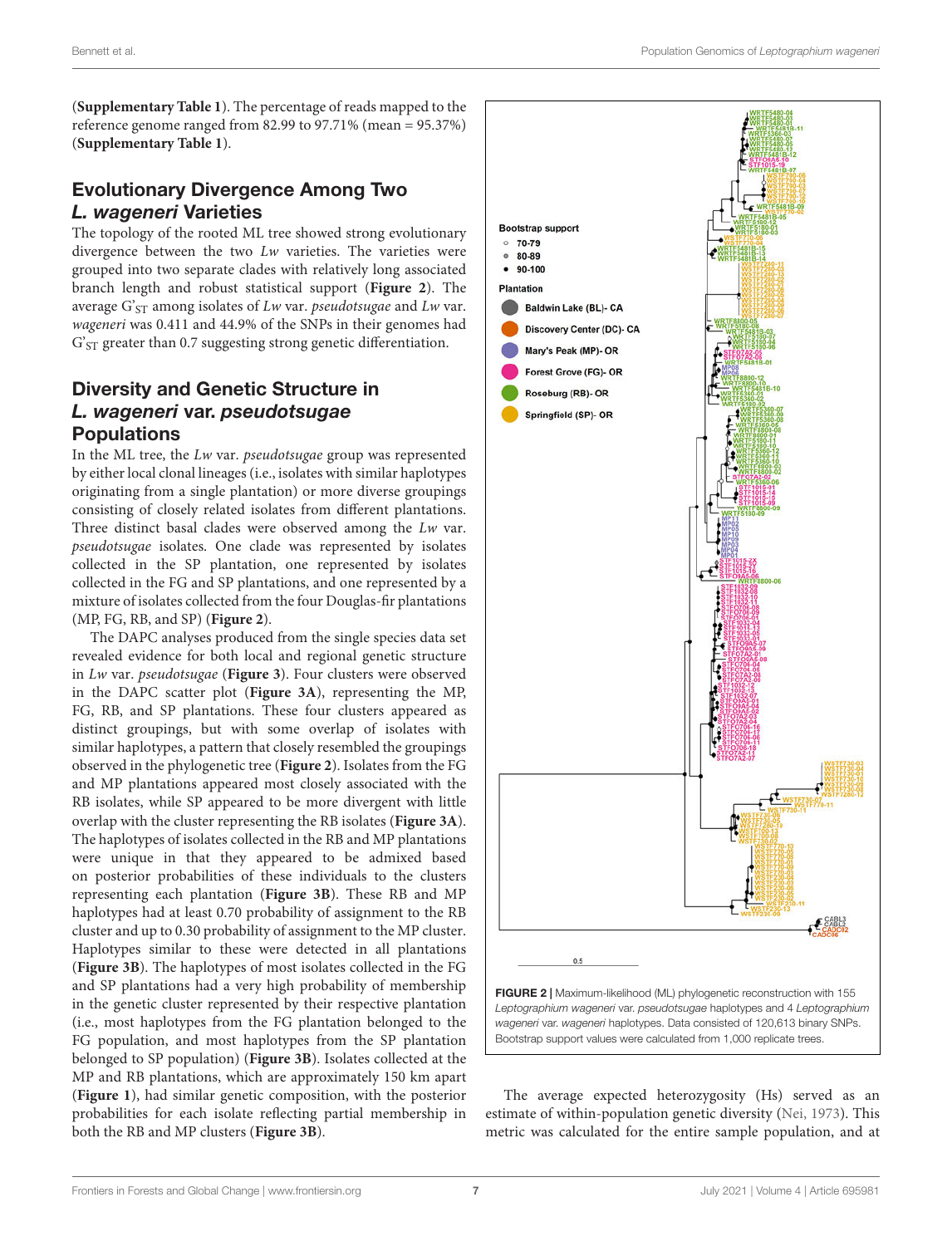(**[Supplementary Table 1](#page-13-8)**). The percentage of reads mapped to the reference genome ranged from 82.99 to 97.71% (mean = 95.37%) (**[Supplementary Table 1](#page-13-8)**).

### Evolutionary Divergence Among Two L. wageneri Varieties

The topology of the rooted ML tree showed strong evolutionary divergence between the two Lw varieties. The varieties were grouped into two separate clades with relatively long associated branch length and robust statistical support (**[Figure 2](#page-6-0)**). The average  $G_{ST}$  among isolates of Lw var. pseudotsugae and Lw var. wageneri was 0.411 and 44.9% of the SNPs in their genomes had G'<sub>ST</sub> greater than 0.7 suggesting strong genetic differentiation.

# Diversity and Genetic Structure in L. wageneri var. pseudotsugae Populations

In the ML tree, the Lw var. pseudotsugae group was represented by either local clonal lineages (i.e., isolates with similar haplotypes originating from a single plantation) or more diverse groupings consisting of closely related isolates from different plantations. Three distinct basal clades were observed among the Lw var. pseudotsugae isolates. One clade was represented by isolates collected in the SP plantation, one represented by isolates collected in the FG and SP plantations, and one represented by a mixture of isolates collected from the four Douglas-fir plantations (MP, FG, RB, and SP) (**[Figure 2](#page-6-0)**).

The DAPC analyses produced from the single species data set revealed evidence for both local and regional genetic structure in Lw var. pseudotsugae (**[Figure 3](#page-7-0)**). Four clusters were observed in the DAPC scatter plot (**[Figure 3A](#page-7-0)**), representing the MP, FG, RB, and SP plantations. These four clusters appeared as distinct groupings, but with some overlap of isolates with similar haplotypes, a pattern that closely resembled the groupings observed in the phylogenetic tree (**[Figure 2](#page-6-0)**). Isolates from the FG and MP plantations appeared most closely associated with the RB isolates, while SP appeared to be more divergent with little overlap with the cluster representing the RB isolates (**[Figure 3A](#page-7-0)**). The haplotypes of isolates collected in the RB and MP plantations were unique in that they appeared to be admixed based on posterior probabilities of these individuals to the clusters representing each plantation (**[Figure 3B](#page-7-0)**). These RB and MP haplotypes had at least 0.70 probability of assignment to the RB cluster and up to 0.30 probability of assignment to the MP cluster. Haplotypes similar to these were detected in all plantations (**[Figure 3B](#page-7-0)**). The haplotypes of most isolates collected in the FG and SP plantations had a very high probability of membership in the genetic cluster represented by their respective plantation (i.e., most haplotypes from the FG plantation belonged to the FG population, and most haplotypes from the SP plantation belonged to SP population) (**[Figure 3B](#page-7-0)**). Isolates collected at the MP and RB plantations, which are approximately 150 km apart (**[Figure 1](#page-5-0)**), had similar genetic composition, with the posterior probabilities for each isolate reflecting partial membership in both the RB and MP clusters (**[Figure 3B](#page-7-0)**).



<span id="page-6-0"></span>The average expected heterozygosity (Hs) served as an estimate of within-population genetic diversity [\(Nei, 1973\)](#page-15-32). This metric was calculated for the entire sample population, and at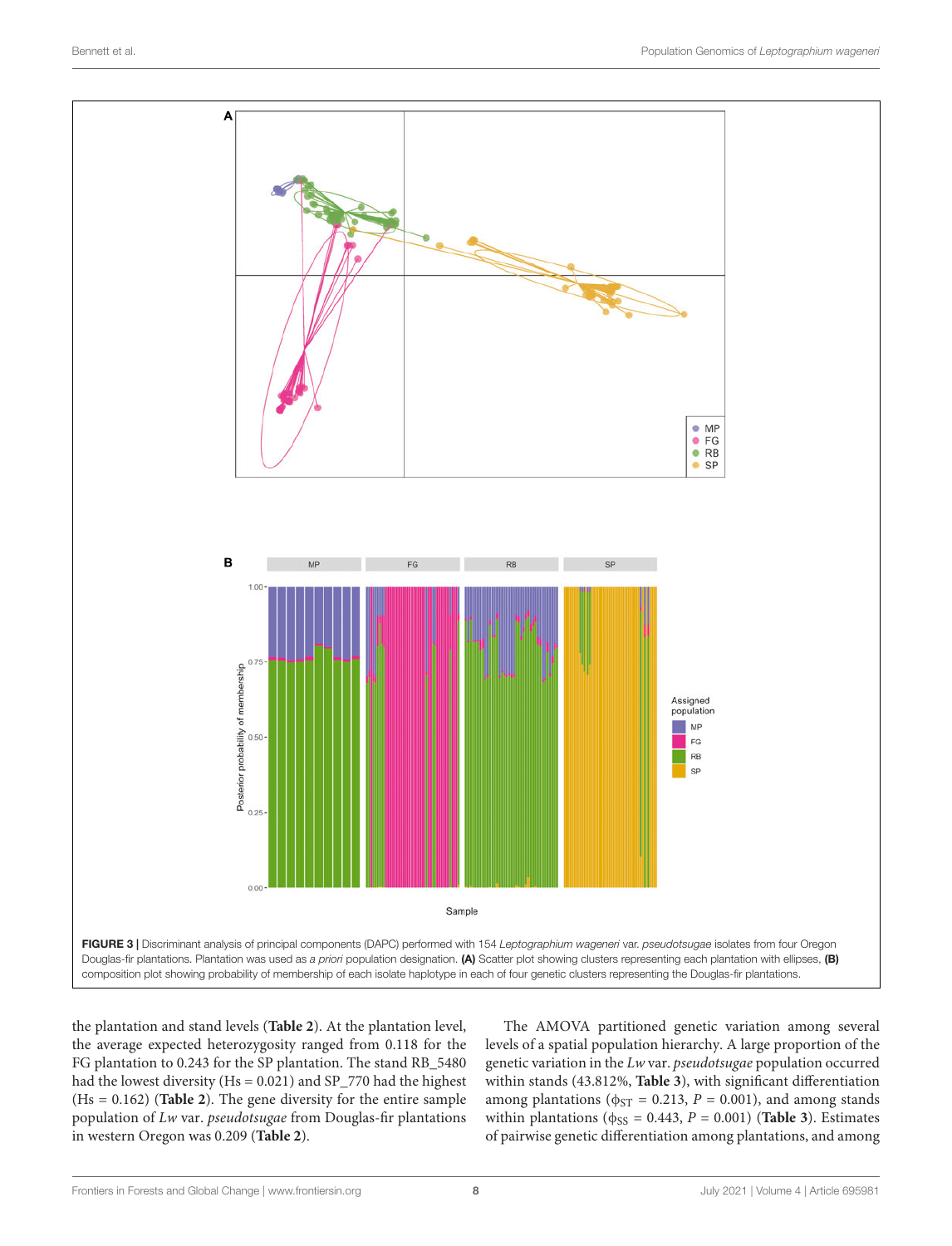

<span id="page-7-0"></span>the plantation and stand levels (**[Table 2](#page-8-0)**). At the plantation level, the average expected heterozygosity ranged from 0.118 for the FG plantation to 0.243 for the SP plantation. The stand RB\_5480 had the lowest diversity (Hs = 0.021) and SP\_770 had the highest (Hs = 0.162) (**[Table 2](#page-8-0)**). The gene diversity for the entire sample population of Lw var. pseudotsugae from Douglas-fir plantations in western Oregon was 0.209 (**[Table 2](#page-8-0)**).

The AMOVA partitioned genetic variation among several levels of a spatial population hierarchy. A large proportion of the genetic variation in the Lw var. pseudotsugae population occurred within stands (43.812%, **[Table 3](#page-8-1)**), with significant differentiation among plantations ( $\phi_{ST} = 0.213$ ,  $P = 0.001$ ), and among stands within plantations ( $\phi$ <sub>SS</sub> = 0.443, *P* = 0.001) (**[Table 3](#page-8-1)**). Estimates of pairwise genetic differentiation among plantations, and among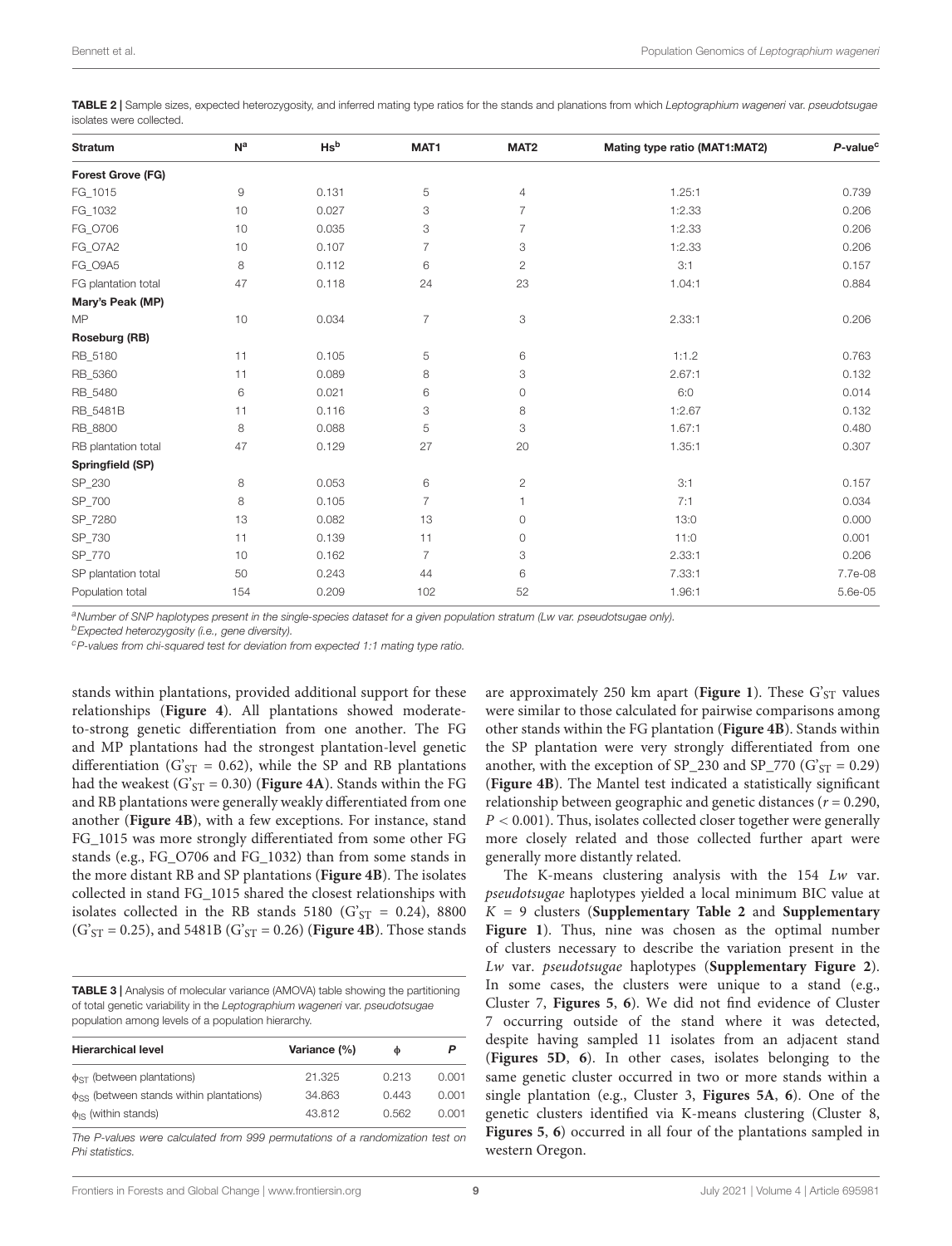<span id="page-8-0"></span>TABLE 2 | Sample sizes, expected heterozygosity, and inferred mating type ratios for the stands and planations from which Leptographium wageneri var. pseudotsugae isolates were collected.

| <b>Stratum</b>           | N <sup>a</sup> | Hs <sup>b</sup> | MAT1           | MAT <sub>2</sub> | Mating type ratio (MAT1:MAT2) | $P$ -value <sup>c</sup> |  |
|--------------------------|----------------|-----------------|----------------|------------------|-------------------------------|-------------------------|--|
| <b>Forest Grove (FG)</b> |                |                 |                |                  |                               |                         |  |
| FG_1015                  | $\overline{9}$ | 0.131           | 5              | 4                | 1.25:1                        | 0.739                   |  |
| FG_1032                  | 10             | 0.027           | 3              | $\overline{7}$   | 1:2.33                        | 0.206                   |  |
| FG_0706                  | 10             | 0.035           | 3              | $\overline{7}$   | 1:2.33                        | 0.206                   |  |
| FG_O7A2                  | 10             | 0.107           | 7              | 3                | 1:2.33                        | 0.206                   |  |
| FG_O9A5                  | 8              | 0.112           | 6              | $\mathbf{2}$     | 3:1                           | 0.157                   |  |
| FG plantation total      | 47             | 0.118           | 24             | 23               | 1.04:1                        | 0.884                   |  |
| Mary's Peak (MP)         |                |                 |                |                  |                               |                         |  |
| <b>MP</b>                | 10             | 0.034           | $\overline{7}$ | 3                | 2.33:1                        | 0.206                   |  |
| Roseburg (RB)            |                |                 |                |                  |                               |                         |  |
| RB_5180                  | 11             | 0.105           | 5              | 6                | 1:1.2                         | 0.763                   |  |
| RB_5360                  | 11             | 0.089           | 8              | 3                | 2.67:1                        | 0.132                   |  |
| RB_5480                  | 6              | 0.021           | 6              | $\circ$          | 6:0                           | 0.014                   |  |
| RB_5481B                 | 11             | 0.116           | 3              | 8                | 1:2.67                        | 0.132                   |  |
| RB 8800                  | 8              | 0.088           | 5              | 3                | 1.67:1                        | 0.480                   |  |
| RB plantation total      | 47             | 0.129           | 27             | 20               | 1.35:1                        | 0.307                   |  |
| Springfield (SP)         |                |                 |                |                  |                               |                         |  |
| SP_230                   | 8              | 0.053           | 6              | $\overline{c}$   | 3:1                           | 0.157                   |  |
| SP_700                   | 8              | 0.105           | $\overline{7}$ |                  | 7:1                           | 0.034                   |  |
| SP 7280                  | 13             | 0.082           | 13             | 0                | 13:0                          | 0.000                   |  |
| SP_730                   | 11             | 0.139           | 11             | $\circ$          | 11:0                          | 0.001                   |  |
| SP_770                   | 10             | 0.162           | $\overline{7}$ | 3                | 2.33:1                        | 0.206                   |  |
| SP plantation total      | 50             | 0.243           | 44             | 6                | 7.33:1                        | 7.7e-08                 |  |
| Population total         | 154            | 0.209           | 102            | 52               | 1.96:1                        | 5.6e-05                 |  |

aNumber of SNP haplotypes present in the single-species dataset for a given population stratum (Lw var. pseudotsugae only).

**b**Expected heterozygosity (i.e., gene diversity).

<sup>c</sup>P-values from chi-squared test for deviation from expected 1:1 mating type ratio.

stands within plantations, provided additional support for these relationships (**[Figure 4](#page-10-0)**). All plantations showed moderateto-strong genetic differentiation from one another. The FG and MP plantations had the strongest plantation-level genetic differentiation (G'<sub>ST</sub> = 0.62), while the SP and RB plantations had the weakest  $(G<sub>ST</sub> = 0.30)$  (**[Figure 4A](#page-10-0)**). Stands within the FG and RB plantations were generally weakly differentiated from one another (**[Figure 4B](#page-10-0)**), with a few exceptions. For instance, stand FG\_1015 was more strongly differentiated from some other FG stands (e.g., FG\_O706 and FG\_1032) than from some stands in the more distant RB and SP plantations (**[Figure 4B](#page-10-0)**). The isolates collected in stand FG\_1015 shared the closest relationships with isolates collected in the RB stands 5180 ( $G'ST = 0.24$ ), 8800  $(G<sub>ST</sub> = 0.25)$ , and 5481B  $(G<sub>ST</sub> = 0.26)$  (**[Figure 4B](#page-10-0)**). Those stands

<span id="page-8-1"></span>TABLE 3 | Analysis of molecular variance (AMOVA) table showing the partitioning of total genetic variability in the Leptographium wageneri var. pseudotsugae population among levels of a population hierarchy.

| <b>Hierarchical level</b>                                 | Variance (%) | Ф     |       |
|-----------------------------------------------------------|--------------|-------|-------|
| $\phi_{ST}$ (between plantations)                         | 21.325       | 0.213 | 0.001 |
| <b>d<sub>SS</sub></b> (between stands within plantations) | 34.863       | 0.443 | 0.001 |
| $\phi$ <sub>IS</sub> (within stands)                      | 43.812       | 0.562 | 0.001 |

The P-values were calculated from 999 permutations of a randomization test on Phi statistics.

are approximately 250 km apart (**[Figure 1](#page-5-0)**). These  $G'_{ST}$  values were similar to those calculated for pairwise comparisons among other stands within the FG plantation (**[Figure 4B](#page-10-0)**). Stands within the SP plantation were very strongly differentiated from one another, with the exception of  $SP_230$  and  $SP_770$  ( $G'_{ST} = 0.29$ ) (**[Figure 4B](#page-10-0)**). The Mantel test indicated a statistically significant relationship between geographic and genetic distances ( $r = 0.290$ ,  $P < 0.001$ ). Thus, isolates collected closer together were generally more closely related and those collected further apart were generally more distantly related.

The K-means clustering analysis with the 154 Lw var. pseudotsugae haplotypes yielded a local minimum BIC value at K = 9 clusters (**[Supplementary Table 2](#page-13-8)** and **[Supplementary](#page-13-8) [Figure 1](#page-13-8)**). Thus, nine was chosen as the optimal number of clusters necessary to describe the variation present in the Lw var. pseudotsugae haplotypes (**[Supplementary Figure 2](#page-13-8)**). In some cases, the clusters were unique to a stand (e.g., Cluster 7, **[Figures 5](#page-11-0)**, **[6](#page-12-0)**). We did not find evidence of Cluster 7 occurring outside of the stand where it was detected, despite having sampled 11 isolates from an adjacent stand (**[Figures 5D](#page-11-0)**, **[6](#page-12-0)**). In other cases, isolates belonging to the same genetic cluster occurred in two or more stands within a single plantation (e.g., Cluster 3, **[Figures 5A](#page-11-0)**, **[6](#page-12-0)**). One of the genetic clusters identified via K-means clustering (Cluster 8, **[Figures 5](#page-11-0)**, **[6](#page-12-0)**) occurred in all four of the plantations sampled in western Oregon.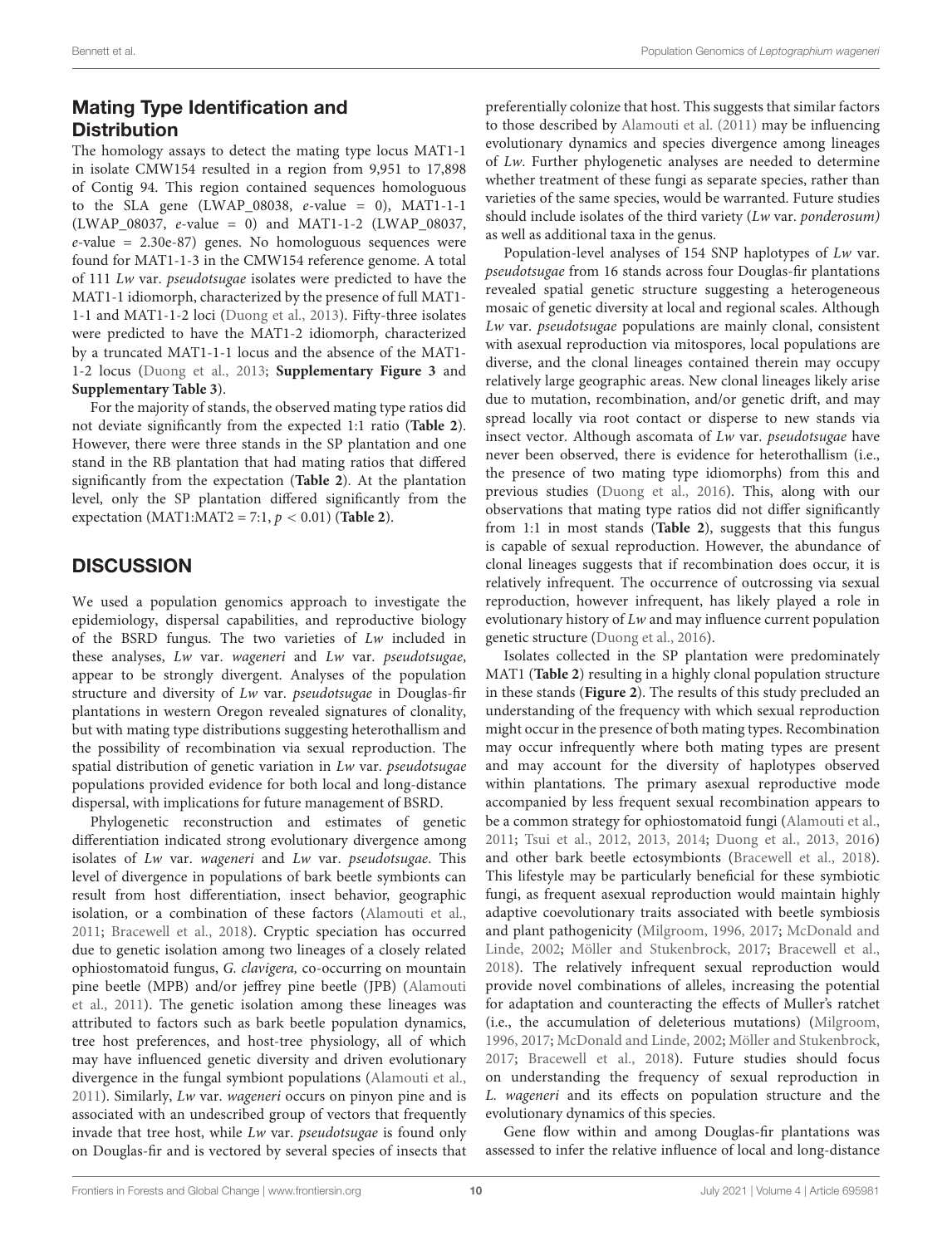# Mating Type Identification and **Distribution**

The homology assays to detect the mating type locus MAT1-1 in isolate CMW154 resulted in a region from 9,951 to 17,898 of Contig 94. This region contained sequences homologuous to the SLA gene (LWAP\_08038,  $e$ -value = 0), MAT1-1-1 (LWAP\_08037, e-value = 0) and MAT1-1-2 (LWAP\_08037,  $e$ -value = 2.30e-87) genes. No homologuous sequences were found for MAT1-1-3 in the CMW154 reference genome. A total of 111 Lw var. pseudotsugae isolates were predicted to have the MAT1-1 idiomorph, characterized by the presence of full MAT1- 1-1 and MAT1-1-2 loci [\(Duong et al., 2013\)](#page-14-43). Fifty-three isolates were predicted to have the MAT1-2 idiomorph, characterized by a truncated MAT1-1-1 locus and the absence of the MAT1- 1-2 locus [\(Duong et al., 2013;](#page-14-43) **[Supplementary Figure 3](#page-13-8)** and **[Supplementary Table 3](#page-13-8)**).

For the majority of stands, the observed mating type ratios did not deviate significantly from the expected 1:1 ratio (**[Table 2](#page-8-0)**). However, there were three stands in the SP plantation and one stand in the RB plantation that had mating ratios that differed significantly from the expectation (**[Table 2](#page-8-0)**). At the plantation level, only the SP plantation differed significantly from the expectation (MAT1:MAT2 = 7:1,  $p < 0.01$ ) (**[Table 2](#page-8-0)**).

# **DISCUSSION**

We used a population genomics approach to investigate the epidemiology, dispersal capabilities, and reproductive biology of the BSRD fungus. The two varieties of Lw included in these analyses, Lw var. wageneri and Lw var. pseudotsugae, appear to be strongly divergent. Analyses of the population structure and diversity of Lw var. pseudotsugae in Douglas-fir plantations in western Oregon revealed signatures of clonality, but with mating type distributions suggesting heterothallism and the possibility of recombination via sexual reproduction. The spatial distribution of genetic variation in Lw var. pseudotsugae populations provided evidence for both local and long-distance dispersal, with implications for future management of BSRD.

Phylogenetic reconstruction and estimates of genetic differentiation indicated strong evolutionary divergence among isolates of Lw var. wageneri and Lw var. pseudotsugae. This level of divergence in populations of bark beetle symbionts can result from host differentiation, insect behavior, geographic isolation, or a combination of these factors [\(Alamouti et al.,](#page-13-9) [2011;](#page-13-9) [Bracewell et al., 2018\)](#page-13-1). Cryptic speciation has occurred due to genetic isolation among two lineages of a closely related ophiostomatoid fungus, G. clavigera, co-occurring on mountain pine beetle (MPB) and/or jeffrey pine beetle (JPB) [\(Alamouti](#page-13-9) [et al., 2011\)](#page-13-9). The genetic isolation among these lineages was attributed to factors such as bark beetle population dynamics, tree host preferences, and host-tree physiology, all of which may have influenced genetic diversity and driven evolutionary divergence in the fungal symbiont populations [\(Alamouti et al.,](#page-13-9) [2011\)](#page-13-9). Similarly, Lw var. wageneri occurs on pinyon pine and is associated with an undescribed group of vectors that frequently invade that tree host, while Lw var. pseudotsugae is found only on Douglas-fir and is vectored by several species of insects that preferentially colonize that host. This suggests that similar factors to those described by [Alamouti et al.](#page-13-9) [\(2011\)](#page-13-9) may be influencing evolutionary dynamics and species divergence among lineages of Lw. Further phylogenetic analyses are needed to determine whether treatment of these fungi as separate species, rather than varieties of the same species, would be warranted. Future studies should include isolates of the third variety (Lw var. ponderosum) as well as additional taxa in the genus.

Population-level analyses of 154 SNP haplotypes of Lw var. pseudotsugae from 16 stands across four Douglas-fir plantations revealed spatial genetic structure suggesting a heterogeneous mosaic of genetic diversity at local and regional scales. Although Lw var. pseudotsugae populations are mainly clonal, consistent with asexual reproduction via mitospores, local populations are diverse, and the clonal lineages contained therein may occupy relatively large geographic areas. New clonal lineages likely arise due to mutation, recombination, and/or genetic drift, and may spread locally via root contact or disperse to new stands via insect vector. Although ascomata of Lw var. pseudotsugae have never been observed, there is evidence for heterothallism (i.e., the presence of two mating type idiomorphs) from this and previous studies [\(Duong et al., 2016\)](#page-14-24). This, along with our observations that mating type ratios did not differ significantly from 1:1 in most stands (**[Table 2](#page-8-0)**), suggests that this fungus is capable of sexual reproduction. However, the abundance of clonal lineages suggests that if recombination does occur, it is relatively infrequent. The occurrence of outcrossing via sexual reproduction, however infrequent, has likely played a role in evolutionary history of Lw and may influence current population genetic structure [\(Duong et al., 2016\)](#page-14-24).

Isolates collected in the SP plantation were predominately MAT1 (**[Table 2](#page-8-0)**) resulting in a highly clonal population structure in these stands (**[Figure 2](#page-6-0)**). The results of this study precluded an understanding of the frequency with which sexual reproduction might occur in the presence of both mating types. Recombination may occur infrequently where both mating types are present and may account for the diversity of haplotypes observed within plantations. The primary asexual reproductive mode accompanied by less frequent sexual recombination appears to be a common strategy for ophiostomatoid fungi [\(Alamouti et al.,](#page-13-9) [2011;](#page-13-9) [Tsui et al., 2012,](#page-15-20) [2013,](#page-15-34) [2014;](#page-15-21) [Duong et al., 2013,](#page-14-43) [2016\)](#page-14-24) and other bark beetle ectosymbionts [\(Bracewell et al., 2018\)](#page-13-1). This lifestyle may be particularly beneficial for these symbiotic fungi, as frequent asexual reproduction would maintain highly adaptive coevolutionary traits associated with beetle symbiosis and plant pathogenicity [\(Milgroom, 1996,](#page-15-17) [2017;](#page-15-18) [McDonald and](#page-15-19) [Linde, 2002;](#page-15-19) [Möller and Stukenbrock, 2017;](#page-15-35) [Bracewell et al.,](#page-13-1) [2018\)](#page-13-1). The relatively infrequent sexual reproduction would provide novel combinations of alleles, increasing the potential for adaptation and counteracting the effects of Muller's ratchet (i.e., the accumulation of deleterious mutations) [\(Milgroom,](#page-15-17) [1996,](#page-15-17) [2017;](#page-15-18) [McDonald and Linde, 2002;](#page-15-19) [Möller and Stukenbrock,](#page-15-35) [2017;](#page-15-35) [Bracewell et al., 2018\)](#page-13-1). Future studies should focus on understanding the frequency of sexual reproduction in L. wageneri and its effects on population structure and the evolutionary dynamics of this species.

Gene flow within and among Douglas-fir plantations was assessed to infer the relative influence of local and long-distance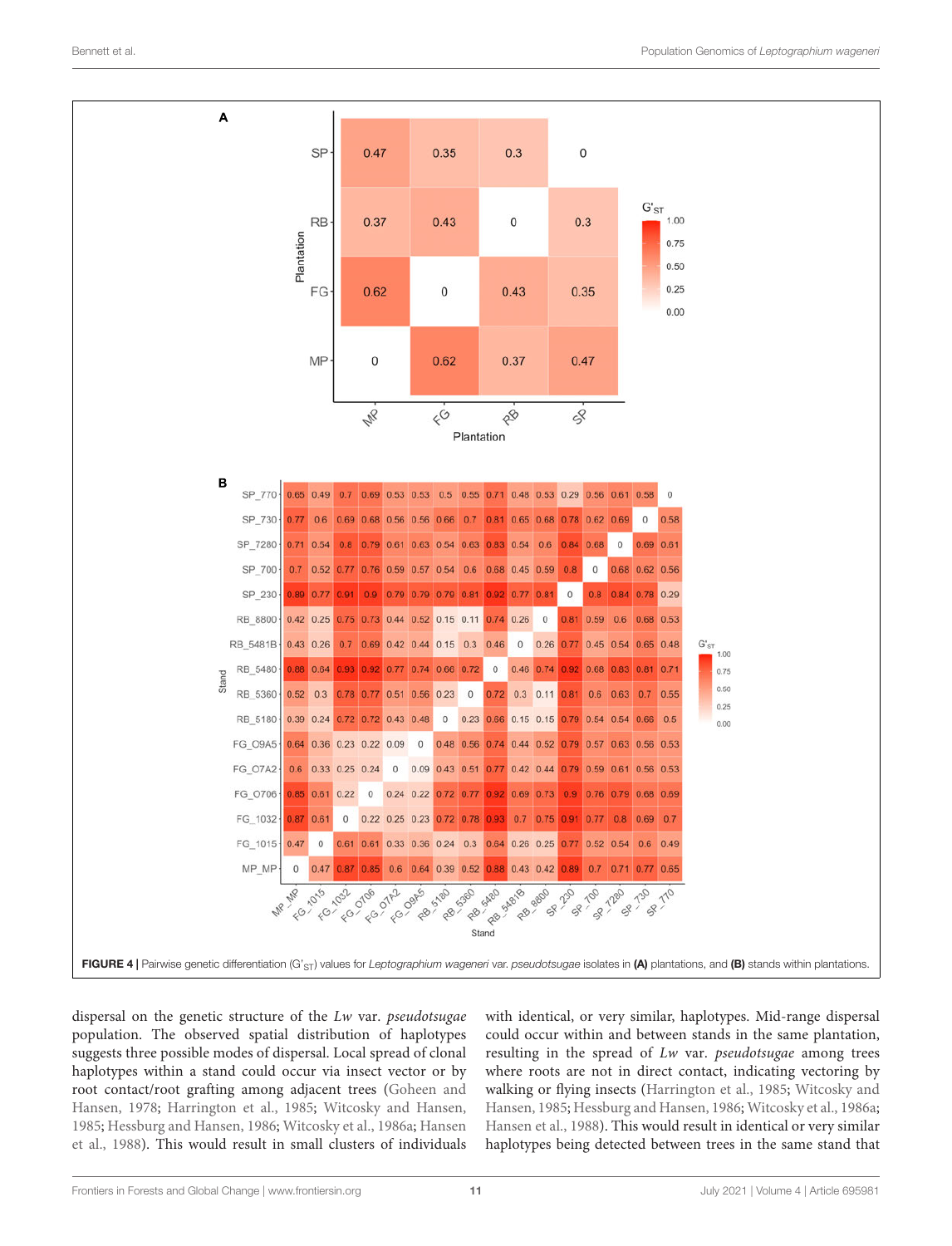

<span id="page-10-0"></span>dispersal on the genetic structure of the Lw var. pseudotsugae population. The observed spatial distribution of haplotypes suggests three possible modes of dispersal. Local spread of clonal haplotypes within a stand could occur via insect vector or by root contact/root grafting among adjacent trees [\(Goheen and](#page-14-7) [Hansen, 1978;](#page-14-7) [Harrington et al., 1985;](#page-14-17) [Witcosky and Hansen,](#page-15-4) [1985;](#page-15-4) [Hessburg and Hansen, 1986;](#page-14-2) [Witcosky et al., 1986a;](#page-15-5) [Hansen](#page-14-14) [et al., 1988\)](#page-14-14). This would result in small clusters of individuals

with identical, or very similar, haplotypes. Mid-range dispersal could occur within and between stands in the same plantation, resulting in the spread of Lw var. pseudotsugae among trees where roots are not in direct contact, indicating vectoring by walking or flying insects [\(Harrington et al., 1985;](#page-14-17) [Witcosky and](#page-15-4) [Hansen, 1985;](#page-15-4) [Hessburg and Hansen, 1986;](#page-14-2) [Witcosky et al., 1986a;](#page-15-5) [Hansen et al., 1988\)](#page-14-14). This would result in identical or very similar haplotypes being detected between trees in the same stand that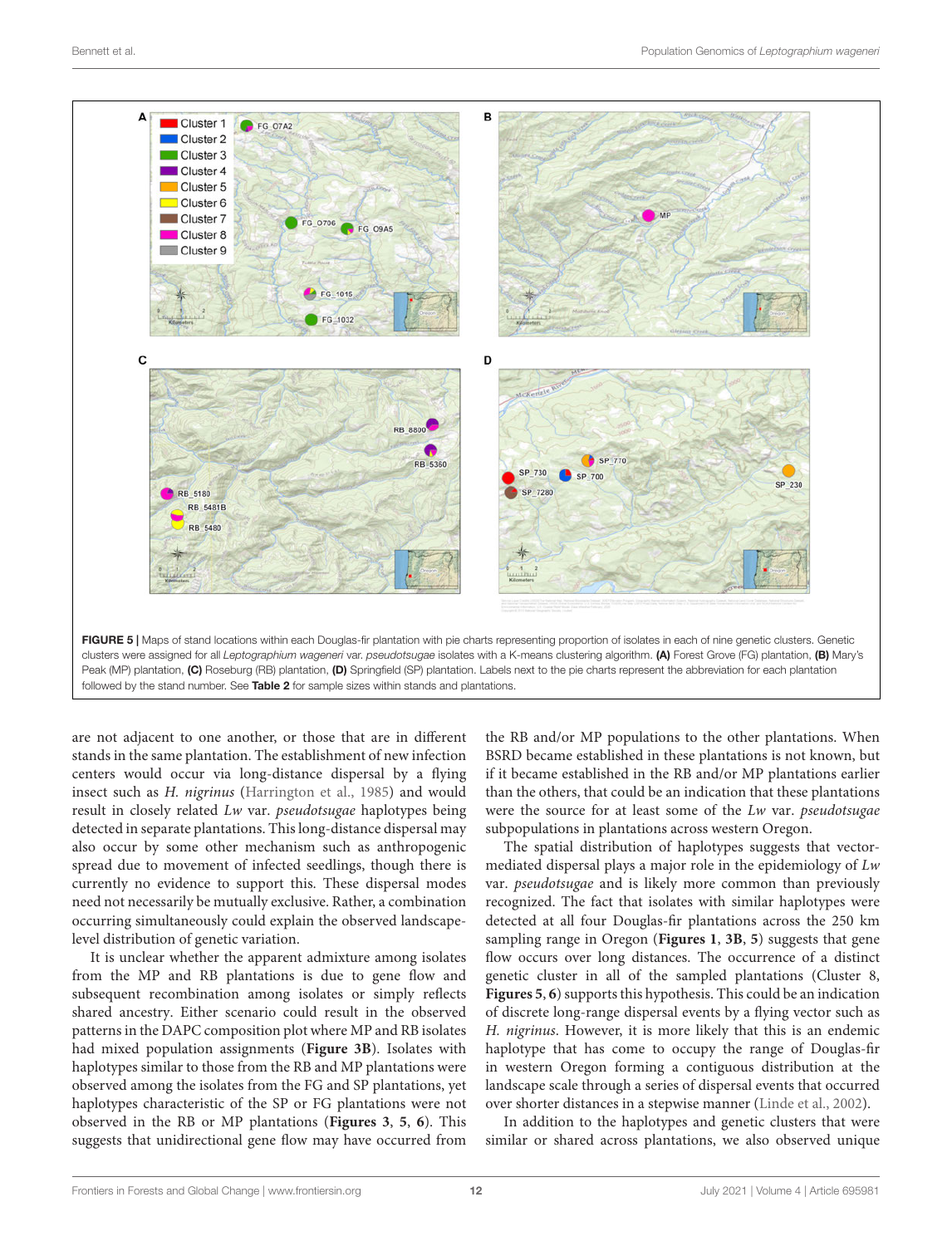

<span id="page-11-0"></span>Peak (MP) plantation, (C) Roseburg (RB) plantation, (D) Springfield (SP) plantation. Labels next to the pie charts represent the abbreviation for each plantation followed by the stand number. See [Table 2](#page-8-0) for sample sizes within stands and plantations.

are not adjacent to one another, or those that are in different stands in the same plantation. The establishment of new infection centers would occur via long-distance dispersal by a flying insect such as H. nigrinus [\(Harrington et al., 1985\)](#page-14-17) and would result in closely related Lw var. pseudotsugae haplotypes being detected in separate plantations. This long-distance dispersal may also occur by some other mechanism such as anthropogenic spread due to movement of infected seedlings, though there is currently no evidence to support this. These dispersal modes need not necessarily be mutually exclusive. Rather, a combination occurring simultaneously could explain the observed landscapelevel distribution of genetic variation.

It is unclear whether the apparent admixture among isolates from the MP and RB plantations is due to gene flow and subsequent recombination among isolates or simply reflects shared ancestry. Either scenario could result in the observed patterns in the DAPC composition plot where MP and RB isolates had mixed population assignments (**[Figure 3B](#page-7-0)**). Isolates with haplotypes similar to those from the RB and MP plantations were observed among the isolates from the FG and SP plantations, yet haplotypes characteristic of the SP or FG plantations were not observed in the RB or MP plantations (**[Figures 3](#page-7-0)**, **[5](#page-11-0)**, **[6](#page-12-0)**). This suggests that unidirectional gene flow may have occurred from the RB and/or MP populations to the other plantations. When BSRD became established in these plantations is not known, but if it became established in the RB and/or MP plantations earlier than the others, that could be an indication that these plantations were the source for at least some of the Lw var. pseudotsugae subpopulations in plantations across western Oregon.

The spatial distribution of haplotypes suggests that vectormediated dispersal plays a major role in the epidemiology of Lw var. pseudotsugae and is likely more common than previously recognized. The fact that isolates with similar haplotypes were detected at all four Douglas-fir plantations across the 250 km sampling range in Oregon (**[Figures 1](#page-5-0)**, **[3B](#page-7-0)**, **[5](#page-11-0)**) suggests that gene flow occurs over long distances. The occurrence of a distinct genetic cluster in all of the sampled plantations (Cluster 8, **[Figures 5](#page-11-0)**, **[6](#page-12-0)**) supports this hypothesis. This could be an indication of discrete long-range dispersal events by a flying vector such as H. nigrinus. However, it is more likely that this is an endemic haplotype that has come to occupy the range of Douglas-fir in western Oregon forming a contiguous distribution at the landscape scale through a series of dispersal events that occurred over shorter distances in a stepwise manner [\(Linde et al., 2002\)](#page-14-26).

In addition to the haplotypes and genetic clusters that were similar or shared across plantations, we also observed unique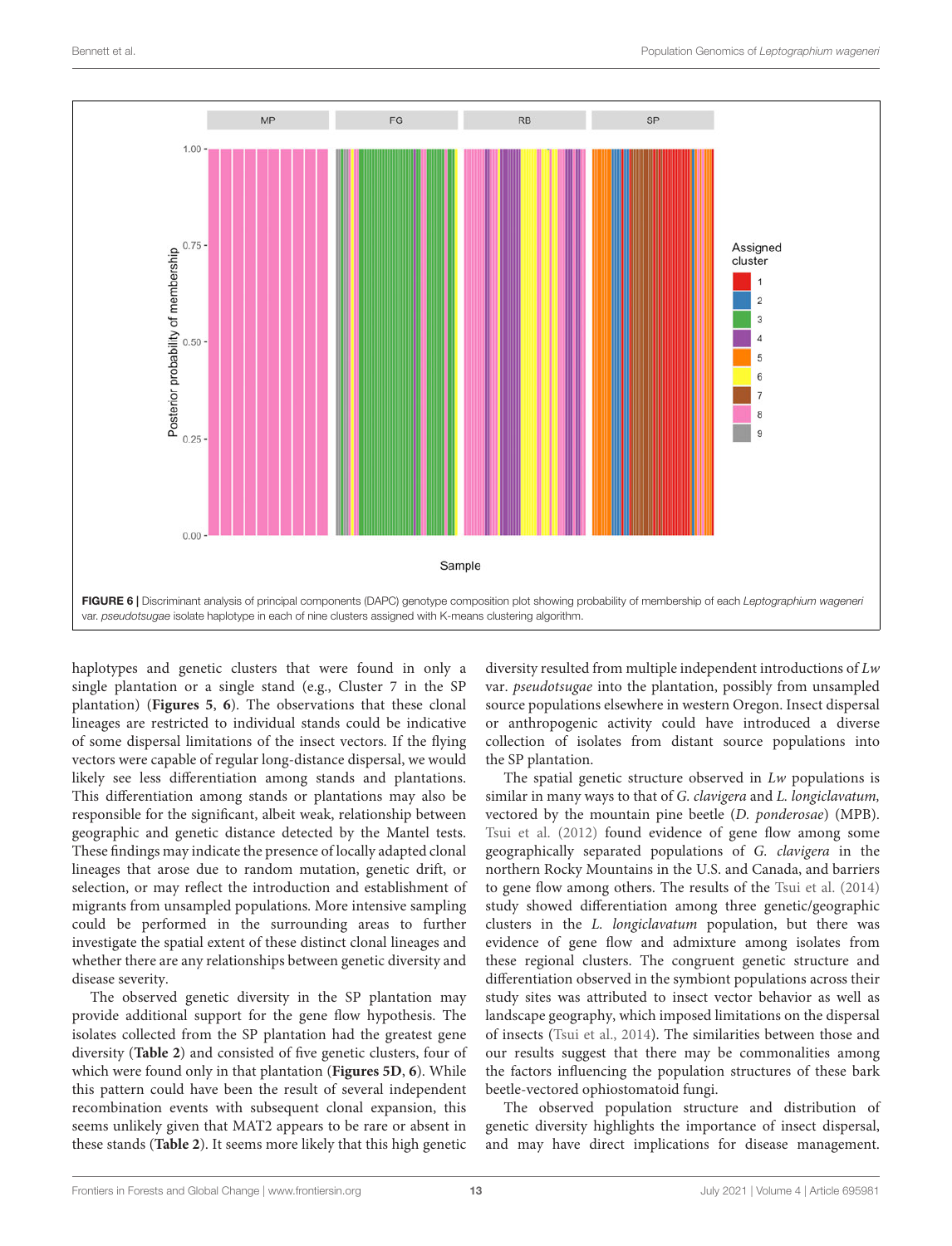

<span id="page-12-0"></span>haplotypes and genetic clusters that were found in only a single plantation or a single stand (e.g., Cluster 7 in the SP plantation) (**[Figures 5](#page-11-0)**, **[6](#page-12-0)**). The observations that these clonal lineages are restricted to individual stands could be indicative of some dispersal limitations of the insect vectors. If the flying vectors were capable of regular long-distance dispersal, we would likely see less differentiation among stands and plantations. This differentiation among stands or plantations may also be responsible for the significant, albeit weak, relationship between geographic and genetic distance detected by the Mantel tests. These findings may indicate the presence of locally adapted clonal lineages that arose due to random mutation, genetic drift, or selection, or may reflect the introduction and establishment of migrants from unsampled populations. More intensive sampling could be performed in the surrounding areas to further investigate the spatial extent of these distinct clonal lineages and whether there are any relationships between genetic diversity and disease severity.

The observed genetic diversity in the SP plantation may provide additional support for the gene flow hypothesis. The isolates collected from the SP plantation had the greatest gene diversity (**[Table 2](#page-8-0)**) and consisted of five genetic clusters, four of which were found only in that plantation (**[Figures 5D](#page-11-0)**, **[6](#page-12-0)**). While this pattern could have been the result of several independent recombination events with subsequent clonal expansion, this seems unlikely given that MAT2 appears to be rare or absent in these stands (**[Table 2](#page-8-0)**). It seems more likely that this high genetic

diversity resulted from multiple independent introductions of Lw var. pseudotsugae into the plantation, possibly from unsampled source populations elsewhere in western Oregon. Insect dispersal or anthropogenic activity could have introduced a diverse collection of isolates from distant source populations into the SP plantation.

The spatial genetic structure observed in Lw populations is similar in many ways to that of G. clavigera and L. longiclavatum, vectored by the mountain pine beetle (D. ponderosae) (MPB). [Tsui et al.](#page-15-20) [\(2012\)](#page-15-20) found evidence of gene flow among some geographically separated populations of G. clavigera in the northern Rocky Mountains in the U.S. and Canada, and barriers to gene flow among others. The results of the [Tsui et al.](#page-15-21) [\(2014\)](#page-15-21) study showed differentiation among three genetic/geographic clusters in the L. longiclavatum population, but there was evidence of gene flow and admixture among isolates from these regional clusters. The congruent genetic structure and differentiation observed in the symbiont populations across their study sites was attributed to insect vector behavior as well as landscape geography, which imposed limitations on the dispersal of insects [\(Tsui et al., 2014\)](#page-15-21). The similarities between those and our results suggest that there may be commonalities among the factors influencing the population structures of these bark beetle-vectored ophiostomatoid fungi.

The observed population structure and distribution of genetic diversity highlights the importance of insect dispersal, and may have direct implications for disease management.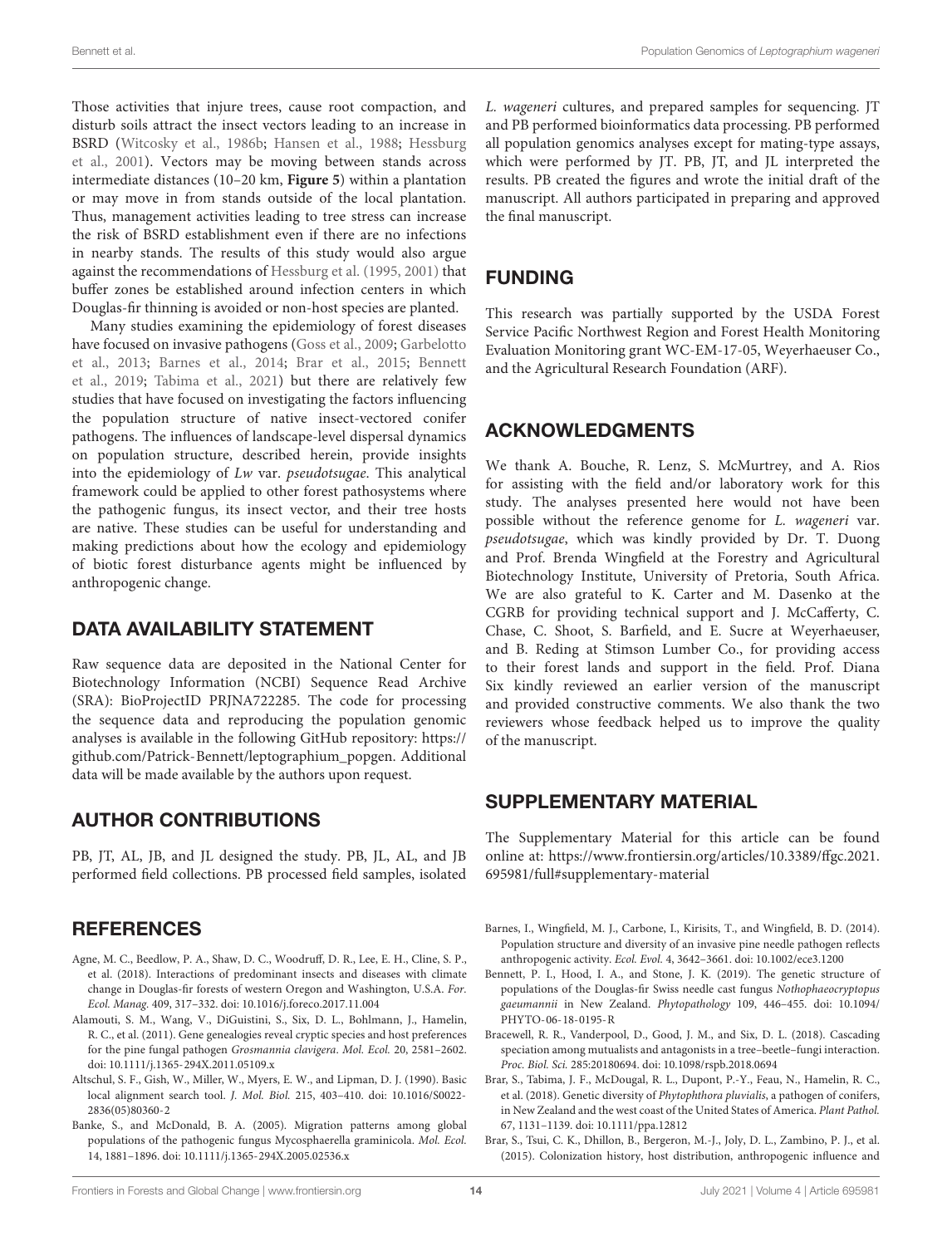Those activities that injure trees, cause root compaction, and disturb soils attract the insect vectors leading to an increase in BSRD [\(Witcosky et al., 1986b;](#page-15-14) [Hansen et al., 1988;](#page-14-14) [Hessburg](#page-14-19) [et al., 2001\)](#page-14-19). Vectors may be moving between stands across intermediate distances (10–20 km, **[Figure 5](#page-11-0)**) within a plantation or may move in from stands outside of the local plantation. Thus, management activities leading to tree stress can increase the risk of BSRD establishment even if there are no infections in nearby stands. The results of this study would also argue against the recommendations of [Hessburg et al.](#page-14-44) [\(1995,](#page-14-44) [2001\)](#page-14-19) that buffer zones be established around infection centers in which Douglas-fir thinning is avoided or non-host species are planted.

Many studies examining the epidemiology of forest diseases have focused on invasive pathogens [\(Goss et al., 2009;](#page-14-28) [Garbelotto](#page-14-29) [et al., 2013;](#page-14-29) [Barnes et al., 2014;](#page-13-3) [Brar et al., 2015;](#page-13-4) [Bennett](#page-13-6) [et al., 2019;](#page-13-6) [Tabima et al., 2021\)](#page-15-25) but there are relatively few studies that have focused on investigating the factors influencing the population structure of native insect-vectored conifer pathogens. The influences of landscape-level dispersal dynamics on population structure, described herein, provide insights into the epidemiology of Lw var. pseudotsugae. This analytical framework could be applied to other forest pathosystems where the pathogenic fungus, its insect vector, and their tree hosts are native. These studies can be useful for understanding and making predictions about how the ecology and epidemiology of biotic forest disturbance agents might be influenced by anthropogenic change.

#### DATA AVAILABILITY STATEMENT

Raw sequence data are deposited in the National Center for Biotechnology Information (NCBI) Sequence Read Archive (SRA): BioProjectID PRJNA722285. The code for processing the sequence data and reproducing the population genomic analyses is available in the following GitHub repository: [https://](https://github.com/Patrick-Bennett/leptographium_popgen) [github.com/Patrick-Bennett/leptographium\\_popgen.](https://github.com/Patrick-Bennett/leptographium_popgen) Additional data will be made available by the authors upon request.

#### AUTHOR CONTRIBUTIONS

PB, JT, AL, JB, and JL designed the study. PB, JL, AL, and JB performed field collections. PB processed field samples, isolated

#### **REFERENCES**

- <span id="page-13-0"></span>Agne, M. C., Beedlow, P. A., Shaw, D. C., Woodruff, D. R., Lee, E. H., Cline, S. P., et al. (2018). Interactions of predominant insects and diseases with climate change in Douglas-fir forests of western Oregon and Washington, U.S.A. For. Ecol. Manag. 409, 317–332. [doi: 10.1016/j.foreco.2017.11.004](https://doi.org/10.1016/j.foreco.2017.11.004)
- <span id="page-13-9"></span>Alamouti, S. M., Wang, V., DiGuistini, S., Six, D. L., Bohlmann, J., Hamelin, R. C., et al. (2011). Gene genealogies reveal cryptic species and host preferences for the pine fungal pathogen Grosmannia clavigera. Mol. Ecol. 20, 2581–2602. [doi: 10.1111/j.1365-294X.2011.05109.x](https://doi.org/10.1111/j.1365-294X.2011.05109.x)
- <span id="page-13-7"></span>Altschul, S. F., Gish, W., Miller, W., Myers, E. W., and Lipman, D. J. (1990). Basic local alignment search tool. J. Mol. Biol. 215, 403–410. [doi: 10.1016/S0022-](https://doi.org/10.1016/S0022-2836(05)80360-2) [2836\(05\)80360-2](https://doi.org/10.1016/S0022-2836(05)80360-2)
- <span id="page-13-2"></span>Banke, S., and McDonald, B. A. (2005). Migration patterns among global populations of the pathogenic fungus Mycosphaerella graminicola. Mol. Ecol. 14, 1881–1896. [doi: 10.1111/j.1365-294X.2005.02536.x](https://doi.org/10.1111/j.1365-294X.2005.02536.x)

L. wageneri cultures, and prepared samples for sequencing. JT and PB performed bioinformatics data processing. PB performed all population genomics analyses except for mating-type assays, which were performed by JT. PB, JT, and JL interpreted the results. PB created the figures and wrote the initial draft of the manuscript. All authors participated in preparing and approved the final manuscript.

### FUNDING

This research was partially supported by the USDA Forest Service Pacific Northwest Region and Forest Health Monitoring Evaluation Monitoring grant WC-EM-17-05, Weyerhaeuser Co., and the Agricultural Research Foundation (ARF).

#### ACKNOWLEDGMENTS

We thank A. Bouche, R. Lenz, S. McMurtrey, and A. Rios for assisting with the field and/or laboratory work for this study. The analyses presented here would not have been possible without the reference genome for L. wageneri var. pseudotsugae, which was kindly provided by Dr. T. Duong and Prof. Brenda Wingfield at the Forestry and Agricultural Biotechnology Institute, University of Pretoria, South Africa. We are also grateful to K. Carter and M. Dasenko at the CGRB for providing technical support and J. McCafferty, C. Chase, C. Shoot, S. Barfield, and E. Sucre at Weyerhaeuser, and B. Reding at Stimson Lumber Co., for providing access to their forest lands and support in the field. Prof. Diana Six kindly reviewed an earlier version of the manuscript and provided constructive comments. We also thank the two reviewers whose feedback helped us to improve the quality of the manuscript.

#### <span id="page-13-8"></span>SUPPLEMENTARY MATERIAL

The Supplementary Material for this article can be found online at: [https://www.frontiersin.org/articles/10.3389/ffgc.2021.](https://www.frontiersin.org/articles/10.3389/ffgc.2021.695981/full#supplementary-material) [695981/full#supplementary-material](https://www.frontiersin.org/articles/10.3389/ffgc.2021.695981/full#supplementary-material)

- <span id="page-13-3"></span>Barnes, I., Wingfield, M. J., Carbone, I., Kirisits, T., and Wingfield, B. D. (2014). Population structure and diversity of an invasive pine needle pathogen reflects anthropogenic activity. Ecol. Evol. 4, 3642–3661. [doi: 10.1002/ece3.1200](https://doi.org/10.1002/ece3.1200)
- <span id="page-13-6"></span>Bennett, P. I., Hood, I. A., and Stone, J. K. (2019). The genetic structure of populations of the Douglas-fir Swiss needle cast fungus Nothophaeocryptopus gaeumannii in New Zealand. Phytopathology 109, 446–455. [doi: 10.1094/](https://doi.org/10.1094/PHYTO-06-18-0195-R) [PHYTO-06-18-0195-R](https://doi.org/10.1094/PHYTO-06-18-0195-R)
- <span id="page-13-1"></span>Bracewell, R. R., Vanderpool, D., Good, J. M., and Six, D. L. (2018). Cascading speciation among mutualists and antagonists in a tree–beetle–fungi interaction. Proc. Biol. Sci. 285:20180694. [doi: 10.1098/rspb.2018.0694](https://doi.org/10.1098/rspb.2018.0694)
- <span id="page-13-5"></span>Brar, S., Tabima, J. F., McDougal, R. L., Dupont, P.-Y., Feau, N., Hamelin, R. C., et al. (2018). Genetic diversity of Phytophthora pluvialis, a pathogen of conifers, in New Zealand and the west coast of the United States of America. Plant Pathol. 67, 1131–1139. [doi: 10.1111/ppa.12812](https://doi.org/10.1111/ppa.12812)
- <span id="page-13-4"></span>Brar, S., Tsui, C. K., Dhillon, B., Bergeron, M.-J., Joly, D. L., Zambino, P. J., et al. (2015). Colonization history, host distribution, anthropogenic influence and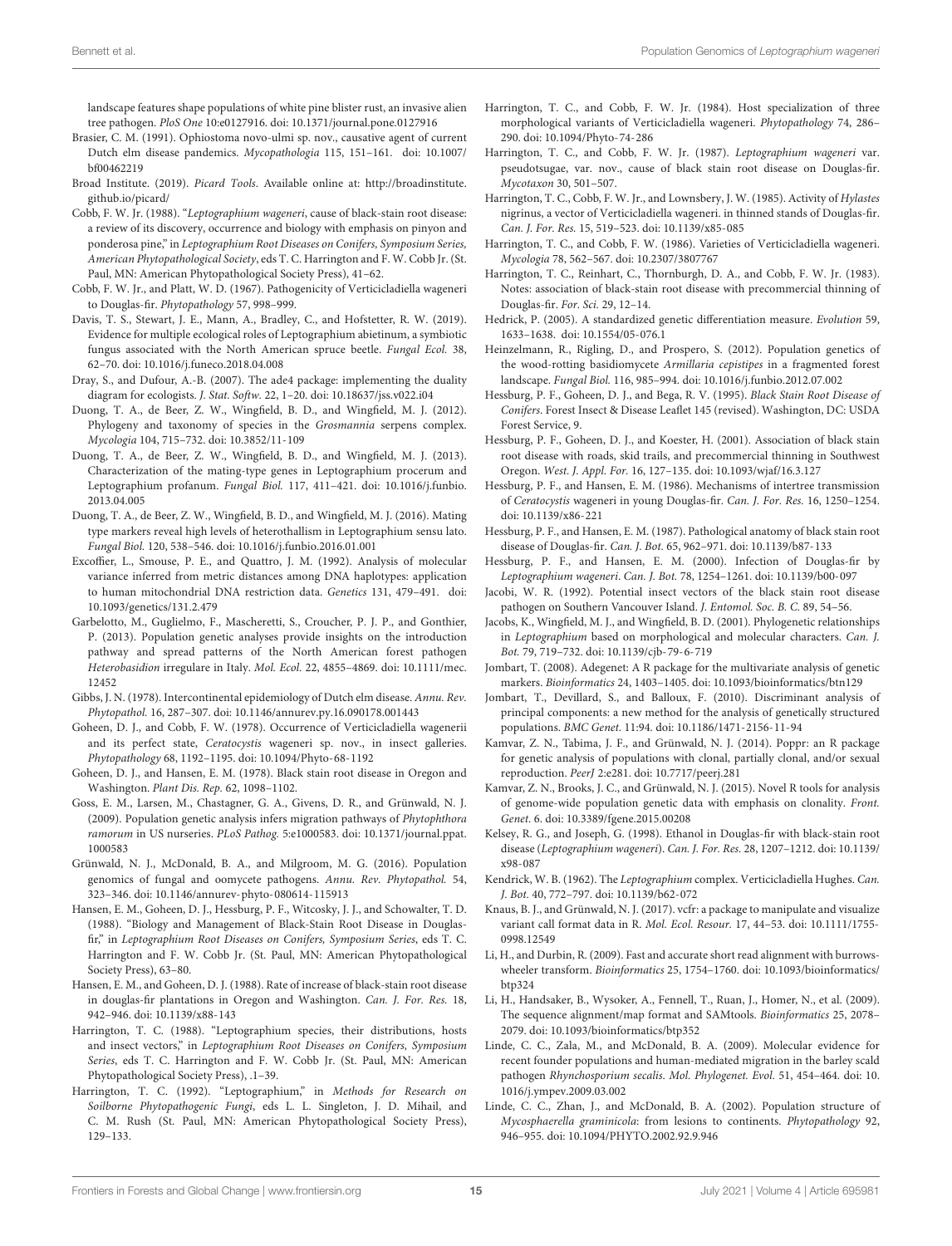landscape features shape populations of white pine blister rust, an invasive alien tree pathogen. PloS One 10:e0127916. [doi: 10.1371/journal.pone.0127916](https://doi.org/10.1371/journal.pone.0127916)

- <span id="page-14-5"></span>Brasier, C. M. (1991). Ophiostoma novo-ulmi sp. nov., causative agent of current Dutch elm disease pandemics. Mycopathologia 115, 151–161. [doi: 10.1007/](https://doi.org/10.1007/bf00462219) [bf00462219](https://doi.org/10.1007/bf00462219)
- <span id="page-14-34"></span>Broad Institute. (2019). Picard Tools. Available online at: [http://broadinstitute.](http://broadinstitute.github.io/picard/) [github.io/picard/](http://broadinstitute.github.io/picard/)
- <span id="page-14-4"></span>Cobb, F. W. Jr. (1988). "Leptographium wageneri, cause of black-stain root disease: a review of its discovery, occurrence and biology with emphasis on pinyon and ponderosa pine," in Leptographium Root Diseases on Conifers, Symposium Series, American Phytopathological Society, eds T. C. Harrington and F. W. Cobb Jr. (St. Paul, MN: American Phytopathological Society Press), 41–62.
- <span id="page-14-6"></span>Cobb, F. W. Jr., and Platt, W. D. (1967). Pathogenicity of Verticicladiella wageneri to Douglas-fir. Phytopathology 57, 998–999.
- <span id="page-14-0"></span>Davis, T. S., Stewart, J. E., Mann, A., Bradley, C., and Hofstetter, R. W. (2019). Evidence for multiple ecological roles of Leptographium abietinum, a symbiotic fungus associated with the North American spruce beetle. Fungal Ecol. 38, 62–70. [doi: 10.1016/j.funeco.2018.04.008](https://doi.org/10.1016/j.funeco.2018.04.008)
- <span id="page-14-39"></span>Dray, S., and Dufour, A.-B. (2007). The ade4 package: implementing the duality diagram for ecologists. J. Stat. Softw. 22, 1–20. [doi: 10.18637/jss.v022.i04](https://doi.org/10.18637/jss.v022.i04)
- <span id="page-14-13"></span>Duong, T. A., de Beer, Z. W., Wingfield, B. D., and Wingfield, M. J. (2012). Phylogeny and taxonomy of species in the Grosmannia serpens complex. Mycologia 104, 715–732. [doi: 10.3852/11-109](https://doi.org/10.3852/11-109)
- <span id="page-14-43"></span>Duong, T. A., de Beer, Z. W., Wingfield, B. D., and Wingfield, M. J. (2013). Characterization of the mating-type genes in Leptographium procerum and Leptographium profanum. Fungal Biol. 117, 411–421. [doi: 10.1016/j.funbio.](https://doi.org/10.1016/j.funbio.2013.04.005) [2013.04.005](https://doi.org/10.1016/j.funbio.2013.04.005)
- <span id="page-14-24"></span>Duong, T. A., de Beer, Z. W., Wingfield, B. D., and Wingfield, M. J. (2016). Mating type markers reveal high levels of heterothallism in Leptographium sensu lato. Fungal Biol. 120, 538–546. [doi: 10.1016/j.funbio.2016.01.001](https://doi.org/10.1016/j.funbio.2016.01.001)
- <span id="page-14-42"></span>Excoffier, L., Smouse, P. E., and Quattro, J. M. (1992). Analysis of molecular variance inferred from metric distances among DNA haplotypes: application to human mitochondrial DNA restriction data. Genetics 131, 479–491. [doi:](https://doi.org/10.1093/genetics/131.2.479) [10.1093/genetics/131.2.479](https://doi.org/10.1093/genetics/131.2.479)
- <span id="page-14-29"></span>Garbelotto, M., Guglielmo, F., Mascheretti, S., Croucher, P. J. P., and Gonthier, P. (2013). Population genetic analyses provide insights on the introduction pathway and spread patterns of the North American forest pathogen Heterobasidion irregulare in Italy. Mol. Ecol. 22, 4855–4869. [doi: 10.1111/mec.](https://doi.org/10.1111/mec.12452) [12452](https://doi.org/10.1111/mec.12452)
- <span id="page-14-1"></span>Gibbs, J. N. (1978). Intercontinental epidemiology of Dutch elm disease. Annu. Rev. Phytopathol. 16, 287–307. [doi: 10.1146/annurev.py.16.090178.001443](https://doi.org/10.1146/annurev.py.16.090178.001443)
- <span id="page-14-16"></span>Goheen, D. J., and Cobb, F. W. (1978). Occurrence of Verticicladiella wagenerii and its perfect state, Ceratocystis wageneri sp. nov., in insect galleries. Phytopathology 68, 1192–1195. [doi: 10.1094/Phyto-68-1192](https://doi.org/10.1094/Phyto-68-1192)
- <span id="page-14-7"></span>Goheen, D. J., and Hansen, E. M. (1978). Black stain root disease in Oregon and Washington. Plant Dis. Rep. 62, 1098–1102.
- <span id="page-14-28"></span>Goss, E. M., Larsen, M., Chastagner, G. A., Givens, D. R., and Grünwald, N. J. (2009). Population genetic analysis infers migration pathways of Phytophthora ramorum in US nurseries. PLoS Pathog. 5:e1000583. [doi: 10.1371/journal.ppat.](https://doi.org/10.1371/journal.ppat.1000583) [1000583](https://doi.org/10.1371/journal.ppat.1000583)
- <span id="page-14-25"></span>Grünwald, N. J., McDonald, B. A., and Milgroom, M. G. (2016). Population genomics of fungal and oomycete pathogens. Annu. Rev. Phytopathol. 54, 323–346. [doi: 10.1146/annurev-phyto-080614-115913](https://doi.org/10.1146/annurev-phyto-080614-115913)
- <span id="page-14-14"></span>Hansen, E. M., Goheen, D. J., Hessburg, P. F., Witcosky, J. J., and Schowalter, T. D. (1988). "Biology and Management of Black-Stain Root Disease in Douglasfir," in Leptographium Root Diseases on Conifers, Symposium Series, eds T. C. Harrington and F. W. Cobb Jr. (St. Paul, MN: American Phytopathological Society Press), 63–80.
- <span id="page-14-23"></span>Hansen, E. M., and Goheen, D. J. (1988). Rate of increase of black-stain root disease in douglas-fir plantations in Oregon and Washington. Can. J. For. Res. 18, 942–946. [doi: 10.1139/x88-143](https://doi.org/10.1139/x88-143)
- <span id="page-14-18"></span>Harrington, T. C. (1988). "Leptographium species, their distributions, hosts and insect vectors," in Leptographium Root Diseases on Conifers, Symposium Series, eds T. C. Harrington and F. W. Cobb Jr. (St. Paul, MN: American Phytopathological Society Press), .1–39.
- <span id="page-14-31"></span>Harrington, T. C. (1992). "Leptographium," in Methods for Research on Soilborne Phytopathogenic Fungi, eds L. L. Singleton, J. D. Mihail, and C. M. Rush (St. Paul, MN: American Phytopathological Society Press), 129–133.
- <span id="page-14-9"></span>Harrington, T. C., and Cobb, F. W. Jr. (1984). Host specialization of three morphological variants of Verticicladiella wageneri. Phytopathology 74, 286– 290. [doi: 10.1094/Phyto-74-286](https://doi.org/10.1094/Phyto-74-286)
- <span id="page-14-10"></span>Harrington, T. C., and Cobb, F. W. Jr. (1987). Leptographium wageneri var. pseudotsugae, var. nov., cause of black stain root disease on Douglas-fir. Mycotaxon 30, 501–507.
- <span id="page-14-17"></span>Harrington, T. C., Cobb, F. W. Jr., and Lownsbery, J. W. (1985). Activity of Hylastes nigrinus, a vector of Verticicladiella wageneri. in thinned stands of Douglas-fir. Can. J. For. Res. 15, 519–523. [doi: 10.1139/x85-085](https://doi.org/10.1139/x85-085)
- <span id="page-14-11"></span>Harrington, T. C., and Cobb, F. W. (1986). Varieties of Verticicladiella wageneri. Mycologia 78, 562–567. [doi: 10.2307/3807767](https://doi.org/10.2307/3807767)
- <span id="page-14-22"></span>Harrington, T. C., Reinhart, C., Thornburgh, D. A., and Cobb, F. W. Jr. (1983). Notes: association of black-stain root disease with precommercial thinning of Douglas-fir. For. Sci. 29, 12–14.
- <span id="page-14-36"></span>Hedrick, P. (2005). A standardized genetic differentiation measure. Evolution 59, 1633–1638. [doi: 10.1554/05-076.1](https://doi.org/10.1554/05-076.1)
- <span id="page-14-30"></span>Heinzelmann, R., Rigling, D., and Prospero, S. (2012). Population genetics of the wood-rotting basidiomycete Armillaria cepistipes in a fragmented forest landscape. Fungal Biol. 116, 985–994. [doi: 10.1016/j.funbio.2012.07.002](https://doi.org/10.1016/j.funbio.2012.07.002)
- <span id="page-14-44"></span>Hessburg, P. F., Goheen, D. J., and Bega, R. V. (1995). Black Stain Root Disease of Conifers. Forest Insect & Disease Leaflet 145 (revised). Washington, DC: USDA Forest Service, 9.
- <span id="page-14-19"></span>Hessburg, P. F., Goheen, D. J., and Koester, H. (2001). Association of black stain root disease with roads, skid trails, and precommercial thinning in Southwest Oregon. West. J. Appl. For. 16, 127–135. [doi: 10.1093/wjaf/16.3.127](https://doi.org/10.1093/wjaf/16.3.127)
- <span id="page-14-2"></span>Hessburg, P. F., and Hansen, E. M. (1986). Mechanisms of intertree transmission of Ceratocystis wageneri in young Douglas-fir. Can. J. For. Res. 16, 1250–1254. [doi: 10.1139/x86-221](https://doi.org/10.1139/x86-221)
- <span id="page-14-3"></span>Hessburg, P. F., and Hansen, E. M. (1987). Pathological anatomy of black stain root disease of Douglas-fir. Can. J. Bot. 65, 962–971. [doi: 10.1139/b87-133](https://doi.org/10.1139/b87-133)
- <span id="page-14-15"></span>Hessburg, P. F., and Hansen, E. M. (2000). Infection of Douglas-fir by Leptographium wageneri. Can. J. Bot. 78, 1254–1261. [doi: 10.1139/b00-097](https://doi.org/10.1139/b00-097)
- <span id="page-14-20"></span>Jacobi, W. R. (1992). Potential insect vectors of the black stain root disease pathogen on Southern Vancouver Island. J. Entomol. Soc. B. C. 89, 54–56.
- <span id="page-14-12"></span>Jacobs, K., Wingfield, M. J., and Wingfield, B. D. (2001). Phylogenetic relationships in Leptographium based on morphological and molecular characters. Can. J. Bot. 79, 719–732. [doi: 10.1139/cjb-79-6-719](https://doi.org/10.1139/cjb-79-6-719)
- <span id="page-14-38"></span>Jombart, T. (2008). Adegenet: A R package for the multivariate analysis of genetic markers. Bioinformatics 24, 1403–1405. [doi: 10.1093/bioinformatics/btn129](https://doi.org/10.1093/bioinformatics/btn129)
- <span id="page-14-37"></span>Jombart, T., Devillard, S., and Balloux, F. (2010). Discriminant analysis of principal components: a new method for the analysis of genetically structured populations. BMC Genet. 11:94. [doi: 10.1186/1471-2156-11-94](https://doi.org/10.1186/1471-2156-11-94)
- <span id="page-14-40"></span>Kamvar, Z. N., Tabima, J. F., and Grünwald, N. J. (2014). Poppr: an R package for genetic analysis of populations with clonal, partially clonal, and/or sexual reproduction. PeerJ 2:e281. [doi: 10.7717/peerj.281](https://doi.org/10.7717/peerj.281)
- <span id="page-14-41"></span>Kamvar, Z. N., Brooks, J. C., and Grünwald, N. J. (2015). Novel R tools for analysis of genome-wide population genetic data with emphasis on clonality. Front. Genet. 6. [doi: 10.3389/fgene.2015.00208](https://doi.org/10.3389/fgene.2015.00208)
- <span id="page-14-21"></span>Kelsey, R. G., and Joseph, G. (1998). Ethanol in Douglas-fir with black-stain root disease (Leptographium wageneri). Can. J. For. Res. 28, 1207–1212. [doi: 10.1139/](https://doi.org/10.1139/x98-087) [x98-087](https://doi.org/10.1139/x98-087)
- <span id="page-14-8"></span>Kendrick, W. B. (1962). The Leptographium complex. Verticicladiella Hughes. Can. J. Bot. 40, 772–797. [doi: 10.1139/b62-072](https://doi.org/10.1139/b62-072)
- <span id="page-14-35"></span>Knaus, B. J., and Grünwald, N. J. (2017). vcfr: a package to manipulate and visualize variant call format data in R. Mol. Ecol. Resour. 17, 44–53. [doi: 10.1111/1755-](https://doi.org/10.1111/1755-0998.12549) [0998.12549](https://doi.org/10.1111/1755-0998.12549)
- <span id="page-14-32"></span>Li, H., and Durbin, R. (2009). Fast and accurate short read alignment with burrowswheeler transform. Bioinformatics 25, 1754–1760. [doi: 10.1093/bioinformatics/](https://doi.org/10.1093/bioinformatics/btp324) [btp324](https://doi.org/10.1093/bioinformatics/btp324)
- <span id="page-14-33"></span>Li, H., Handsaker, B., Wysoker, A., Fennell, T., Ruan, J., Homer, N., et al. (2009). The sequence alignment/map format and SAMtools. Bioinformatics 25, 2078– 2079. [doi: 10.1093/bioinformatics/btp352](https://doi.org/10.1093/bioinformatics/btp352)
- <span id="page-14-27"></span>Linde, C. C., Zala, M., and McDonald, B. A. (2009). Molecular evidence for recent founder populations and human-mediated migration in the barley scald pathogen Rhynchosporium secalis. Mol. Phylogenet. Evol. 51, 454–464. [doi: 10.](https://doi.org/10.1016/j.ympev.2009.03.002) [1016/j.ympev.2009.03.002](https://doi.org/10.1016/j.ympev.2009.03.002)
- <span id="page-14-26"></span>Linde, C. C., Zhan, J., and McDonald, B. A. (2002). Population structure of Mycosphaerella graminicola: from lesions to continents. Phytopathology 92, 946–955. [doi: 10.1094/PHYTO.2002.92.9.946](https://doi.org/10.1094/PHYTO.2002.92.9.946)